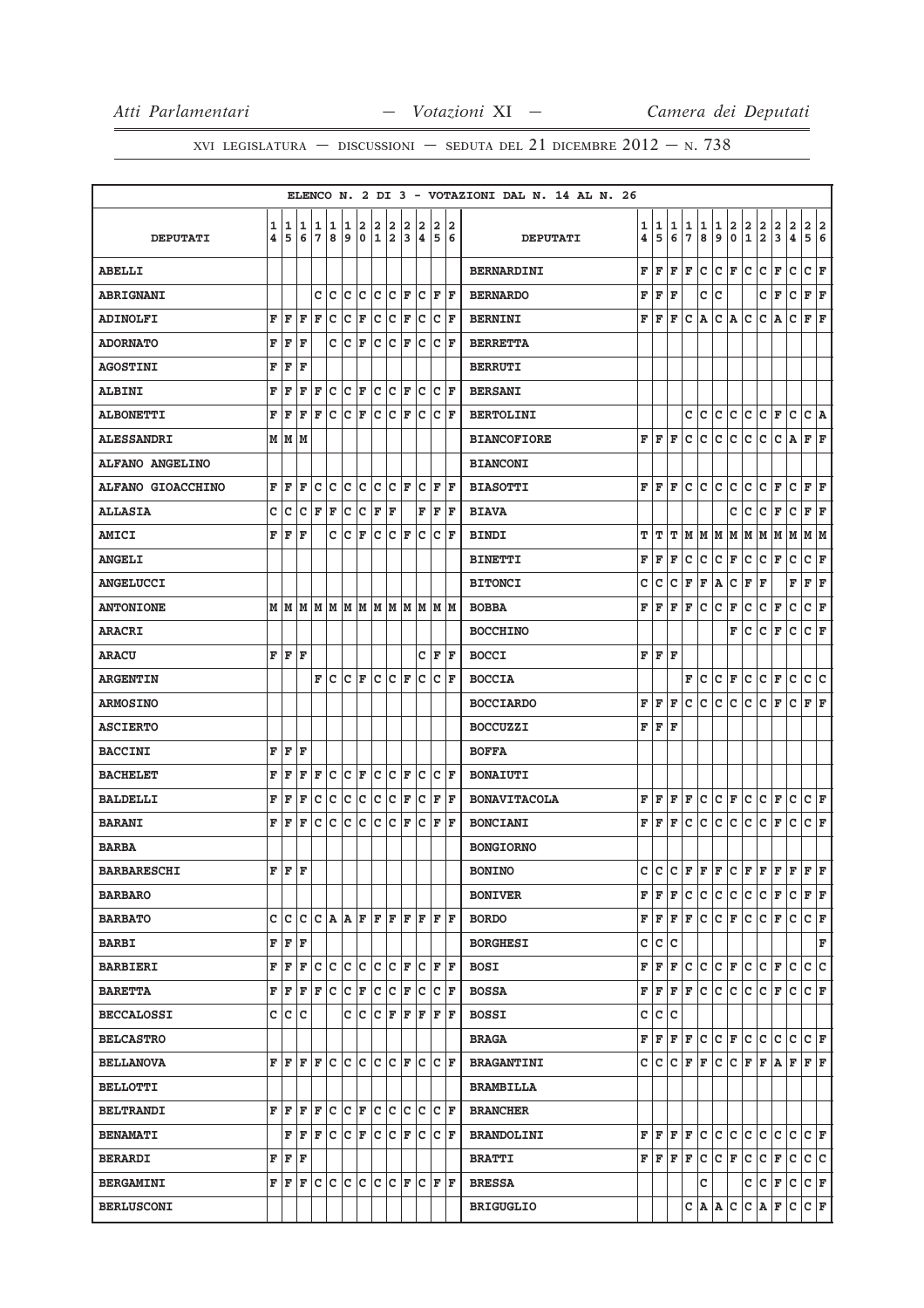|                          |   |     |                                                                                                                                   |     |                         |                      |                      |     |                                                             |              |               |                |                      |    | ELENCO N. 2 DI 3 - VOTAZIONI DAL N. 14 AL N. 26 |                         |         |     |               |                                       |                         |               |               |                             |               |               |                    |                         |
|--------------------------|---|-----|-----------------------------------------------------------------------------------------------------------------------------------|-----|-------------------------|----------------------|----------------------|-----|-------------------------------------------------------------|--------------|---------------|----------------|----------------------|----|-------------------------------------------------|-------------------------|---------|-----|---------------|---------------------------------------|-------------------------|---------------|---------------|-----------------------------|---------------|---------------|--------------------|-------------------------|
|                          | 1 | 1   | 1                                                                                                                                 | 1   | 1                       | 1                    |                      |     |                                                             | 2            |               |                | 2                    | 2  |                                                 | 1                       | 1       | 1   | $\frac{1}{7}$ |                                       | $\frac{1}{9}$           | $\frac{2}{0}$ | $\frac{2}{1}$ | $\frac{2}{2}$               | $\frac{2}{3}$ | $\frac{2}{4}$ | $rac{2}{5}$        | $\overline{\mathbf{2}}$ |
| <b>DEPUTATI</b>          | 4 | 5   | 6                                                                                                                                 | 7   | 8                       | 9                    |                      |     | $\begin{array}{c c c c} 2 & 2 & 2 \\ 0 & 1 & 2 \end{array}$ | <sub>3</sub> | $\frac{2}{4}$ | $\overline{5}$ |                      | 6  | <b>DEPUTATI</b>                                 | $\overline{\mathbf{4}}$ | 5       | 6   |               | $\begin{array}{c} 1 \\ 8 \end{array}$ |                         |               |               |                             |               |               |                    | 6                       |
| <b>ABELLI</b>            |   |     |                                                                                                                                   |     |                         |                      |                      |     |                                                             |              |               |                |                      |    | <b>BERNARDINI</b>                               | F                       | F       | F   | F             | c                                     | c                       | F             | c             | c                           | F             | c             | c                  | F                       |
| <b>ABRIGNANI</b>         |   |     |                                                                                                                                   | c   | c                       | c                    | lc.                  |     | $ C C $ F                                                   |              |               | $C$ $F$ $F$    |                      |    | <b>BERNARDO</b>                                 | F                       | F       | F   |               | с                                     | с                       |               |               | c                           | F             | c             | F F                |                         |
| <b>ADINOLFI</b>          | F | F   | F                                                                                                                                 | F   | c                       | c                    | F                    | lc. | Iс                                                          | ١F           | Iс            |                | $ {\bf C}  {\bf F} $ |    | <b>BERNINI</b>                                  | F                       | F       | F   | с             | Α                                     | с                       | Α             | с             | с                           | Α             | c             | F                  | F                       |
| <b>ADORNATO</b>          | F | F   | F                                                                                                                                 |     |                         | c c                  | F                    |     | C C F                                                       |              | c.            |                | $ C $ F              |    | <b>BERRETTA</b>                                 |                         |         |     |               |                                       |                         |               |               |                             |               |               |                    |                         |
| <b>AGOSTINI</b>          | F | F   | F                                                                                                                                 |     |                         |                      |                      |     |                                                             |              |               |                |                      |    | <b>BERRUTI</b>                                  |                         |         |     |               |                                       |                         |               |               |                             |               |               |                    |                         |
| <b>ALBINI</b>            | F | F   | F                                                                                                                                 | F   | C                       |                      | $ C $ F              |     | c c                                                         | ΙF           | c             |                | $ {\bf C}  {\bf F} $ |    | <b>BERSANI</b>                                  |                         |         |     |               |                                       |                         |               |               |                             |               |               |                    |                         |
| <b>ALBONETTI</b>         | F | F   | F                                                                                                                                 | F   | c                       | $ {\bf C}  {\bf F} $ |                      |     | $ C C $ F                                                   |              | Iс            |                | $ C $ F              |    | <b>BERTOLINI</b>                                |                         |         |     | с             | с                                     | с                       | c             | с             | c                           | F             | c             | C A                |                         |
| <b>ALESSANDRI</b>        |   |     | M   M   M                                                                                                                         |     |                         |                      |                      |     |                                                             |              |               |                |                      |    | <b>BIANCOFIORE</b>                              | F                       | F       | F   | c             | с                                     | c                       | c             | c             | c                           | c             | Α             | F F                |                         |
| <b>ALFANO ANGELINO</b>   |   |     |                                                                                                                                   |     |                         |                      |                      |     |                                                             |              |               |                |                      |    | <b>BIANCONI</b>                                 |                         |         |     |               |                                       |                         |               |               |                             |               |               |                    |                         |
| <b>ALFANO GIOACCHINO</b> | F | F   | F                                                                                                                                 | с   | с                       | с                    | c                    | c   | c                                                           | lF.          | Iс            | F              |                      | ١F | <b>BIASOTTI</b>                                 | F                       | F       | F   | с             | с                                     | c                       | c             | с             | с                           | F             | с             | F                  | F                       |
| <b>ALLASIA</b>           | с | с   | c                                                                                                                                 | F   | F                       | c                    | c                    | F   | F                                                           |              | F             |                | F F                  |    | <b>BIAVA</b>                                    |                         |         |     |               |                                       |                         | с             | с             | с                           | F             | $\mathtt{C}$  | F F                |                         |
| <b>AMICI</b>             | F | F   | F                                                                                                                                 |     | c                       | c                    | F                    | c   | c                                                           | ΙF           | lc            |                | $ {\bf C}  {\bf F} $ |    | <b>BINDI</b>                                    | т                       | т       | т   | м             | М                                     | M                       | М             | М             | M                           | М             | M             | MM                 |                         |
| <b>ANGELI</b>            |   |     |                                                                                                                                   |     |                         |                      |                      |     |                                                             |              |               |                |                      |    | <b>BINETTI</b>                                  | F                       | F       | F   | c             | c                                     | c                       | F             | c             | c                           | F             | $\mathtt{C}$  | C F                |                         |
| <b>ANGELUCCI</b>         |   |     |                                                                                                                                   |     |                         |                      |                      |     |                                                             |              |               |                |                      |    | <b>BITONCI</b>                                  | с                       | с       | с   | F             | F                                     | Α                       | с             | F             | F                           |               | F             | F F                |                         |
| <b>ANTONIONE</b>         |   |     |                                                                                                                                   |     |                         |                      |                      |     |                                                             |              |               |                |                      |    | <b>BOBBA</b>                                    | F                       | F       | F   | F             | с                                     | c                       | F             | с             | c                           | F             | с             | c                  | F                       |
| <b>ARACRI</b>            |   |     |                                                                                                                                   |     |                         |                      |                      |     |                                                             |              |               |                |                      |    | <b>BOCCHINO</b>                                 |                         |         |     |               |                                       |                         | F             | с             | c                           | F             | c             | C F                |                         |
| <b>ARACU</b>             | F | F   | F                                                                                                                                 |     |                         |                      |                      |     |                                                             |              | C             | F              |                      | F  | <b>BOCCI</b>                                    | F                       | F       | F   |               |                                       |                         |               |               |                             |               |               |                    |                         |
| <b>ARGENTIN</b>          |   |     |                                                                                                                                   | F   | c                       |                      | $ {\tt C} \;  $ F    |     | $ C C $ F                                                   |              | lc            |                | $ {\bf C}  {\bf F}$  |    | <b>BOCCIA</b>                                   |                         |         |     | F             | c                                     | c                       | F             | c             | c                           | F             | $\mathtt{C}$  | c c                |                         |
| <b>ARMOSINO</b>          |   |     |                                                                                                                                   |     |                         |                      |                      |     |                                                             |              |               |                |                      |    | <b>BOCCIARDO</b>                                | F                       | F       | F   | $\mathbf{C}$  | c                                     | c                       | c             | c             | c                           | F             | c             | F F                |                         |
| <b>ASCIERTO</b>          |   |     |                                                                                                                                   |     |                         |                      |                      |     |                                                             |              |               |                |                      |    | <b>BOCCUZZI</b>                                 | F                       | F       | F   |               |                                       |                         |               |               |                             |               |               |                    |                         |
| <b>BACCINI</b>           | F | F   | F                                                                                                                                 |     |                         |                      |                      |     |                                                             |              |               |                |                      |    | <b>BOFFA</b>                                    |                         |         |     |               |                                       |                         |               |               |                             |               |               |                    |                         |
| <b>BACHELET</b>          | F | F   | F                                                                                                                                 | F   | c                       |                      | $ {\bf C}  {\bf F} $ |     | c c                                                         | F            | c             |                | $ {\bf C}  {\bf F} $ |    | <b>BONAIUTI</b>                                 |                         |         |     |               |                                       |                         |               |               |                             |               |               |                    |                         |
| <b>BALDELLI</b>          | F | ΙF  | F                                                                                                                                 | с   | c.                      |                      |                      |     | $ c c c c _F$                                               |              |               | $C$ $F$ $F$    |                      |    | <b>BONAVITACOLA</b>                             | F                       | F       | F   | F             | с                                     | с                       | F             | с             | c                           | F             | c             | C F                |                         |
| <b>BARANI</b>            | F | F   | F                                                                                                                                 | с   | c                       | c                    | c                    | c   | c                                                           | F            |               | C F F          |                      |    | <b>BONCIANI</b>                                 | F                       | F       | F   | с             | с                                     | с                       | с             | c             | с                           | F             | с             | C F                |                         |
| <b>BARBA</b>             |   |     |                                                                                                                                   |     |                         |                      |                      |     |                                                             |              |               |                |                      |    | <b>BONGIORNO</b>                                |                         |         |     |               |                                       |                         |               |               |                             |               |               |                    |                         |
| <b>BARBARESCHI</b>       |   | FF  | F                                                                                                                                 |     |                         |                      |                      |     |                                                             |              |               |                |                      |    | <b>BONINO</b>                                   |                         |         |     |               |                                       |                         |               |               | C C E F F C F F F F F F F   |               |               |                    |                         |
| <b>BARBARO</b>           |   |     |                                                                                                                                   |     |                         |                      |                      |     |                                                             |              |               |                |                      |    | <b>BONIVER</b>                                  |                         | FF      | F   | с             | с                                     | с                       | c             | с             | CF                          |               | c             | F F                |                         |
| <b>BARBATO</b>           |   | c c |                                                                                                                                   |     | C C A A F F F F F F F F |                      |                      |     |                                                             |              |               |                |                      |    | <b>BORDO</b>                                    |                         | FF      |     | F F           | c                                     | C F                     |               |               | C C F                       |               | lc.           | C F                |                         |
| <b>BARBI</b>             |   |     | F F F                                                                                                                             |     |                         |                      |                      |     |                                                             |              |               |                |                      |    | <b>BORGHESI</b>                                 | c                       | c       | c   |               |                                       |                         |               |               |                             |               |               |                    | F                       |
| <b>BARBIERI</b>          |   |     | F F F C C C C C C F C F F F                                                                                                       |     |                         |                      |                      |     |                                                             |              |               |                |                      |    | <b>BOSI</b>                                     | F                       | F       | F   | c             | $\mathbf{C}$                          | $ {\bf C}\, {\bf F}\, $ |               |               | C C F                       |               | lc.           | c c                |                         |
| <b>BARETTA</b>           |   | FF  |                                                                                                                                   | F F | lc.                     |                      |                      |     | C F C C F C                                                 |              |               |                | $ C $ F              |    | <b>BOSSA</b>                                    | F                       | F       | F   | F             | c                                     | c                       | c             | c             | c                           | F             | c             | C F                |                         |
| <b>BECCALOSSI</b>        |   |     | C C C                                                                                                                             |     |                         |                      |                      |     | C C C F F F F F F                                           |              |               |                |                      |    | <b>BOSSI</b>                                    | c                       | c       | c   |               |                                       |                         |               |               |                             |               |               |                    |                         |
| <b>BELCASTRO</b>         |   |     |                                                                                                                                   |     |                         |                      |                      |     |                                                             |              |               |                |                      |    | <b>BRAGA</b>                                    | F                       | F       | F F |               | c                                     |                         |               |               | $ c _F c c c c $            |               |               | $ C $ $\mathbf{F}$ |                         |
| <b>BELLANOVA</b>         |   |     | ${\bf F}$ ${\bf F}$ ${\bf F}$ ${\bf F}$ ${\bf C}$ ${\bf C}$ ${\bf C}$ ${\bf C}$ ${\bf F}$ ${\bf C}$ ${\bf F}$ ${\bf C}$ ${\bf F}$ |     |                         |                      |                      |     |                                                             |              |               |                |                      |    | <b>BRAGANTINI</b>                               | c                       | c       | c   | F             | F                                     | c                       |               |               | $C$ $F$ $F$ $A$ $F$ $F$ $F$ |               |               |                    |                         |
| <b>BELLOTTI</b>          |   |     |                                                                                                                                   |     |                         |                      |                      |     |                                                             |              |               |                |                      |    | <b>BRAMBILLA</b>                                |                         |         |     |               |                                       |                         |               |               |                             |               |               |                    |                         |
| <b>BELTRANDI</b>         |   |     | ${\bf F}$ ${\bf F}$ ${\bf F}$ ${\bf F}$ ${\bf C}$ ${\bf C}$ ${\bf F}$ ${\bf C}$ ${\bf C}$ ${\bf C}$ ${\bf C}$ ${\bf C}$ ${\bf F}$ |     |                         |                      |                      |     |                                                             |              |               |                |                      |    | <b>BRANCHER</b>                                 |                         |         |     |               |                                       |                         |               |               |                             |               |               |                    |                         |
| <b>BENAMATI</b>          |   |     | F F F C C F C F C F C F                                                                                                           |     |                         |                      |                      |     |                                                             |              |               |                |                      |    | <b>BRANDOLINI</b>                               |                         | F F F F |     |               | $\mathbf{C}$                          | c c                     |               |               | $ c c c c c _{\mathbf{F}}$  |               |               |                    |                         |
| <b>BERARDI</b>           |   |     | $\mathbf{F} \parallel \mathbf{F} \parallel \mathbf{F}$                                                                            |     |                         |                      |                      |     |                                                             |              |               |                |                      |    | <b>BRATTI</b>                                   |                         | FF      | F   | F             | c                                     | c                       | F             | c             | c                           | F             | c             | c c                |                         |
| <b>BERGAMINI</b>         |   |     | F F F C C C C C C F C F F F                                                                                                       |     |                         |                      |                      |     |                                                             |              |               |                |                      |    | <b>BRESSA</b>                                   |                         |         |     |               | c                                     |                         |               | $\mathbf{C}$  | $ {\tt C}\, {\tt F}\, $     |               | c             | $ c _F$            |                         |
| <b>BERLUSCONI</b>        |   |     |                                                                                                                                   |     |                         |                      |                      |     |                                                             |              |               |                |                      |    | <b>BRIGUGLIO</b>                                |                         |         |     | c             | A A C                                 |                         |               |               | C A                         | F             | lc.           | C F                |                         |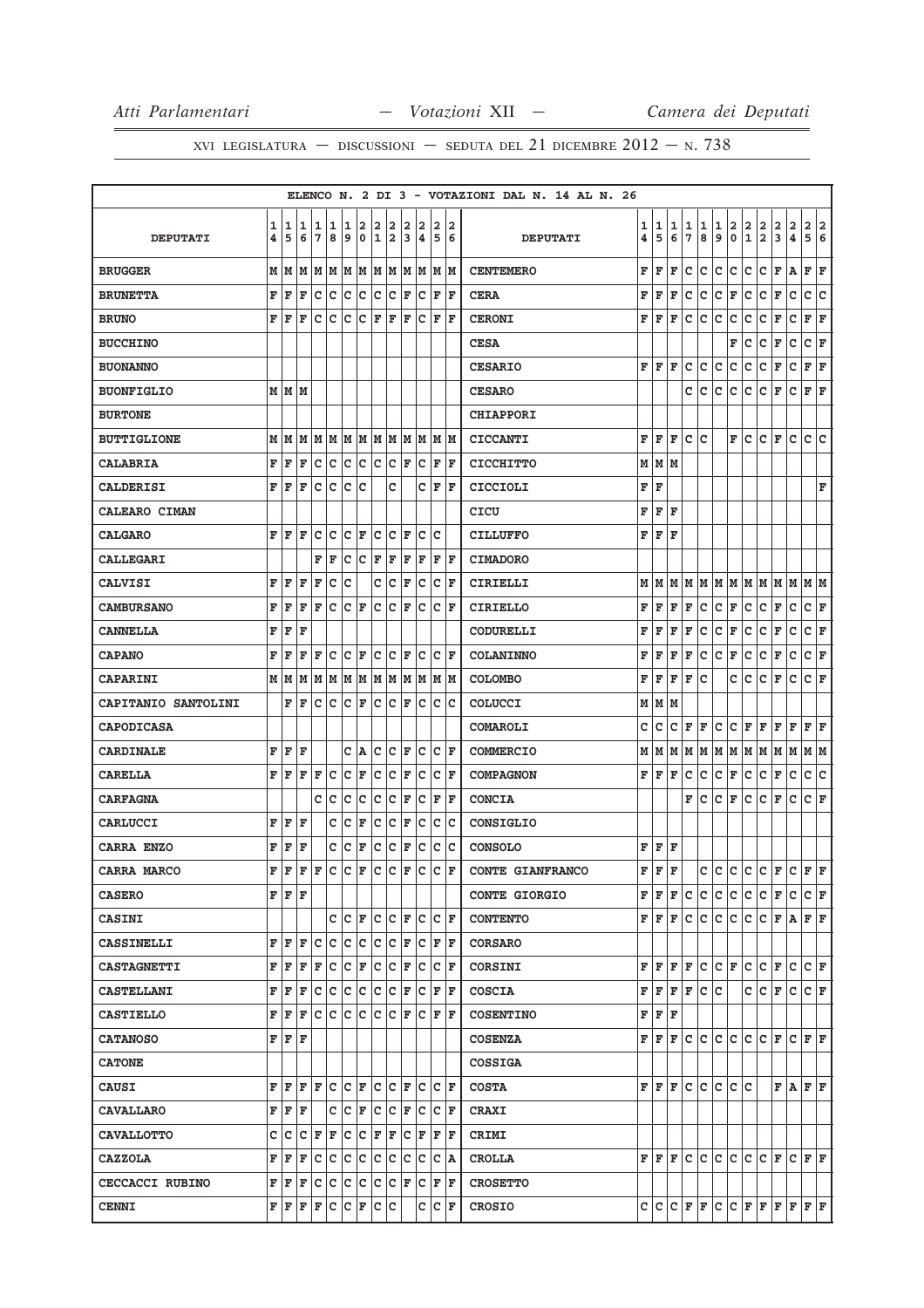|                            |   |       |                      |     |         |     |             |              |       |    |                           |     |                      | ELENCO N. 2 DI 3 - VOTAZIONI DAL N. 14 AL N. 26 |    |       |   |    |   |     |                         |               |                        |                         |              |         |    |
|----------------------------|---|-------|----------------------|-----|---------|-----|-------------|--------------|-------|----|---------------------------|-----|----------------------|-------------------------------------------------|----|-------|---|----|---|-----|-------------------------|---------------|------------------------|-------------------------|--------------|---------|----|
|                            | 1 |       | 1 1                  | 1   | 1       | 1   | 2           | 2            | 2     | 2  | 2                         | 2   | 2                    |                                                 | 1  | 1     | 1 | 1  | 1 | 1   | $\overline{\mathbf{2}}$ | $\frac{2}{1}$ | $\frac{2}{2}$          | $\overline{\mathbf{2}}$ | $\mathbf{2}$ | 2 2     |    |
| <b>DEPUTATI</b>            | 4 | 5     | 6                    | 7   | 8       | 9   | $\mathbf 0$ | $\mathbf{1}$ | 2     | 3  | $\pmb{4}$                 | 5   | 6                    | <b>DEPUTATI</b>                                 | 4  | 5     | 6 | 7  | 8 | 9   | $\pmb{0}$               |               |                        | 3                       | 4            | 5       | 6  |
| <b>BRUGGER</b>             | M | M     | M                    | MM  |         |     | MM          |              | MM    |    | MM                        |     | MM                   | <b>CENTEMERO</b>                                | F  | F     | F | c  | c | c   | c                       | c             | c                      | F                       | Α            | F F     |    |
| <b>BRUNETTA</b>            | F | ΙF    | ΙF                   | lc. | c       | c   | c           | lc           | c     | F  | lc                        | F   | lF                   | <b>CERA</b>                                     | F  | F     | F | с  | c | c   | F                       | c             | $\mathbf{C}$           | F                       | $\mathtt{C}$ | c       | C  |
| <b>BRUNO</b>               | F | l F   | F                    | c   | c       | Iс  | c           | F            | F     | F  | c                         | F   | lF                   | <b>CERONI</b>                                   | F  | F     | F | c  | c | c   | C                       | с             | с                      | F                       | $\mathbf C$  | F       | F  |
| <b>BUCCHINO</b>            |   |       |                      |     |         |     |             |              |       |    |                           |     |                      | <b>CESA</b>                                     |    |       |   |    |   |     | F                       | с             | c                      | F                       | с            | C F     |    |
| <b>BUONANNO</b>            |   |       |                      |     |         |     |             |              |       |    |                           |     |                      | <b>CESARIO</b>                                  | F  | F     | F | с  | c | с   | с                       | с             | с                      | F                       | c            | F       | ΙF |
| <b>BUONFIGLIO</b>          |   | M M M |                      |     |         |     |             |              |       |    |                           |     |                      | <b>CESARO</b>                                   |    |       |   | с  | с | с   | c                       | с             | c                      | F                       | $\mathbf C$  | F F     |    |
| <b>BURTONE</b>             |   |       |                      |     |         |     |             |              |       |    |                           |     |                      | <b>CHIAPPORI</b>                                |    |       |   |    |   |     |                         |               |                        |                         |              |         |    |
| <b>BUTTIGLIONE</b>         | M | M     | M                    | MM  |         |     | MM          |              | MM    |    | MM                        |     | M M                  | <b>CICCANTI</b>                                 | F  | F     | F | c  | c |     | F                       | c             | C F                    |                         | c            | c c     |    |
| <b>CALABRIA</b>            | F | F     | F                    | Iс  | c       | c   | с           | lc.          | c     | F  | Iс                        | F   | ΙF                   | <b>CICCHITTO</b>                                | М  | M   M |   |    |   |     |                         |               |                        |                         |              |         |    |
| <b>CALDERISI</b>           | F | l F   | ΙF                   | Iс  | Iс      | Iс  | с           |              | C     |    | c                         | F   | lF                   | <b>CICCIOLI</b>                                 | F  | F     |   |    |   |     |                         |               |                        |                         |              |         | F  |
| <b>CALEARO CIMAN</b>       |   |       |                      |     |         |     |             |              |       |    |                           |     |                      | <b>CICU</b>                                     | F  | F     | F |    |   |     |                         |               |                        |                         |              |         |    |
| <b>CALGARO</b>             | F | l F   | ΙF                   | c   | c       | c   | ΙF          | c            | lc    | F  | c                         | c   |                      | <b>CILLUFFO</b>                                 | F  | F     | F |    |   |     |                         |               |                        |                         |              |         |    |
| <b>CALLEGARI</b>           |   |       |                      | F   | F       | Iс  | Iс          | F            | F     | F  | F                         |     | F F                  | <b>CIMADORO</b>                                 |    |       |   |    |   |     |                         |               |                        |                         |              |         |    |
| <b>CALVISI</b>             | F | ΙF    | F                    | F   | c       | c   |             | c            | c     | ΙF | c                         | c   | ΙF                   | <b>CIRIELLI</b>                                 | мI | M     | М | M  |   |     |                         |               | IM   M   M   M   M   M |                         |              | MM      |    |
| <b>CAMBURSANO</b>          | F | l F   | F                    | F   | c       | lc. | F           | lc.          | lc    | ΙF | c                         | lc. | l F                  | <b>CIRIELLO</b>                                 | F  | F     | F | F  | c | C F |                         | c             | c                      | F                       | $\mathbf C$  | C F     |    |
| <b>CANNELLA</b>            | F | F     | F                    |     |         |     |             |              |       |    |                           |     |                      | CODURELLI                                       | F  | F     | F | F  | с | с   | F                       | с             | c                      | F                       | c            | C F     |    |
| <b>CAPANO</b>              | F | ΙF    | F                    | F   | c       | Ιc  | lF.         | c            | Ιc    | F  | Ιc                        | c   | ΙF                   | <b>COLANINNO</b>                                | F  | F     | F | F  | с | c   | F                       | c             | c                      | F                       | c            | c       | F  |
| <b>CAPARINI</b>            |   | M M   | M   M   M            |     |         |     | MM          |              |       |    |                           |     | M  M  M  M  M  M     | <b>COLOMBO</b>                                  | F  | F     | F | F  | c |     | c                       | c             | c                      | F                       | c            | C F     |    |
| <b>CAPITANIO SANTOLINI</b> |   | F     | ΙF                   | с   | c       | c   | F           | c            | Iс    | F  | c                         | c   | Ιc                   | COLUCCI                                         | М  | М     | M |    |   |     |                         |               |                        |                         |              |         |    |
| <b>CAPODICASA</b>          |   |       |                      |     |         |     |             |              |       |    |                           |     |                      | COMAROLI                                        | с  | с     | с | F  | F | с   | c                       | F             | F                      | F                       | F            | F F     |    |
| <b>CARDINALE</b>           | F | ΙF    | F                    |     |         | с   | ١A          | c            | c     | ΙF | Ιc                        | c   | ΙF                   | <b>COMMERCIO</b>                                | М  | м     | М | М  | M |     |                         |               | M  M  M  M  M  M       |                         |              | M M     |    |
| <b>CARELLA</b>             | F | F     | F                    | F   | c       | c   | F           | c            | c     | F  | c                         | lc. | F                    | <b>COMPAGNON</b>                                | FF |       | F | c  | c | c   | F                       | c             | c                      | F                       | $\mathtt{C}$ | c       | c  |
| <b>CARFAGNA</b>            |   |       |                      | с   | c       | Iс  | c           | Iс           | c     | F  | Iс                        | F   | ١F                   | <b>CONCIA</b>                                   |    |       |   | F  | с | C F |                         | c             | c                      | F                       | c            | C F     |    |
| CARLUCCI                   | F | ΙF    | F                    |     | c       | Ιc  | F           | c            | Iс    | F  | c                         | Iс  | Ιc                   | CONSIGLIO                                       |    |       |   |    |   |     |                         |               |                        |                         |              |         |    |
| CARRA ENZO                 | F | F     | ΙF                   |     | с       | c   | F           | c            | c     | F  | c                         |     | c c                  | <b>CONSOLO</b>                                  | F  | F     | F |    |   |     |                         |               |                        |                         |              |         |    |
| CARRA MARCO                | F | ΙF    | F                    | ΙF  | c       | Ιc  | F           | Ιc           | Iс    | ΙF | c                         | c   | F                    | CONTE GIANFRANCO                                | F  | F     | F |    | с | с   | c                       | с             | c                      | F                       | c            | $F$ $F$ |    |
| <b>CASERO</b>              |   | F F F |                      |     |         |     |             |              |       |    |                           |     |                      | <b>CONTE GIORGIO</b>                            |    | FF    | F | c  | c | c   | c.                      | c             | c                      | F                       | c            | C F     |    |
| <b>CASINI</b>              |   |       |                      |     | C       | Ιc  | ΙF          | lc.          | Iс    | F  | Iс                        | c   | ١F                   | <b>CONTENTO</b>                                 | FI | F     | F | c  | c | c   | c.                      | c             | c.                     | F A                     |              | F F     |    |
| <b>CASSINELLI</b>          | F | F     | ΙF                   | c   | lc      | lc  | lc.         | lc.          | lc    | ΙF | Ιc                        | F   | ΙF                   | <b>CORSARO</b>                                  |    |       |   |    |   |     |                         |               |                        |                         |              |         |    |
| <b>CASTAGNETTI</b>         | F | F     | F                    | F   | lc      | c   | ΙF          | c c          |       | F  | Iс                        |     | $ {\bf C}  {\bf F} $ | <b>CORSINI</b>                                  | FI | F     |   | FF | c |     | C F                     |               | $ C C $ F              |                         | c            | C F     |    |
| CASTELLANI                 | F | l F   | F                    | c   | c       | c   | c           | c            | c     | ΙF | Iс                        | F   | ١F                   | <b>COSCIA</b>                                   | F  | F     | F | F  | с | c   |                         | c             | c                      | F                       | c            | C F     |    |
| <b>CASTIELLO</b>           | F | F     | lF.                  |     |         |     |             |              |       |    |                           |     |                      | <b>COSENTINO</b>                                |    | F F F |   |    |   |     |                         |               |                        |                         |              |         |    |
| <b>CATANOSO</b>            | F | F     | F                    |     |         |     |             |              |       |    |                           |     |                      | <b>COSENZA</b>                                  | F  | F     | F | c  | c | c   | c                       | c             | c                      | F                       | c            | FF      |    |
| <b>CATONE</b>              |   |       |                      |     |         |     |             |              |       |    |                           |     |                      | <b>COSSIGA</b>                                  |    |       |   |    |   |     |                         |               |                        |                         |              |         |    |
| <b>CAUSI</b>               | F | F     | F                    | F   | lc      | lc. | l F         | lc.          | lc    | F  | lc                        |     | CF                   | <b>COSTA</b>                                    | FΙ | F     | F | c  | c | c   | lc lc                   |               |                        | F                       | $A$ $F$ $F$  |         |    |
| <b>CAVALLARO</b>           | F | F     | ΙF                   |     | C       | Iс  | F           | Iс           | Iс    | F  | Iс                        |     | C F                  | <b>CRAXI</b>                                    |    |       |   |    |   |     |                         |               |                        |                         |              |         |    |
| <b>CAVALLOTTO</b>          | c | Ιc    | $ {\bf C}  {\bf F} $ |     | F       | c   | c           | F F          |       |    | $ {\tt C} \;  $ ${\tt F}$ |     | F F                  | CRIMI                                           |    |       |   |    |   |     |                         |               |                        |                         |              |         |    |
| <b>CAZZOLA</b>             | F | l F   | F                    | c   | c       | c   | c           | lc.          | c     | Ιc | Iс                        |     | $ C $ $A$            | <b>CROLLA</b>                                   | F  | F     | F | c  | c | c   | c                       | c             | $\mathsf{c}$           | F                       | c            | F F     |    |
| <b>CECCACCI RUBINO</b>     | F | ΙF    | F                    |     | c c c c |     |             |              | C C F |    | Iс                        |     | F F                  | <b>CROSETTO</b>                                 |    |       |   |    |   |     |                         |               |                        |                         |              |         |    |
| <b>CENNI</b>               |   | FF    | F                    | F   | c       | c   | F           | IC.          | c     |    | с                         |     | $ C $ F              | <b>CROSIO</b>                                   |    | C C   | c | F  | F |     |                         |               | C  C F F F F           |                         |              | $F$ $F$ |    |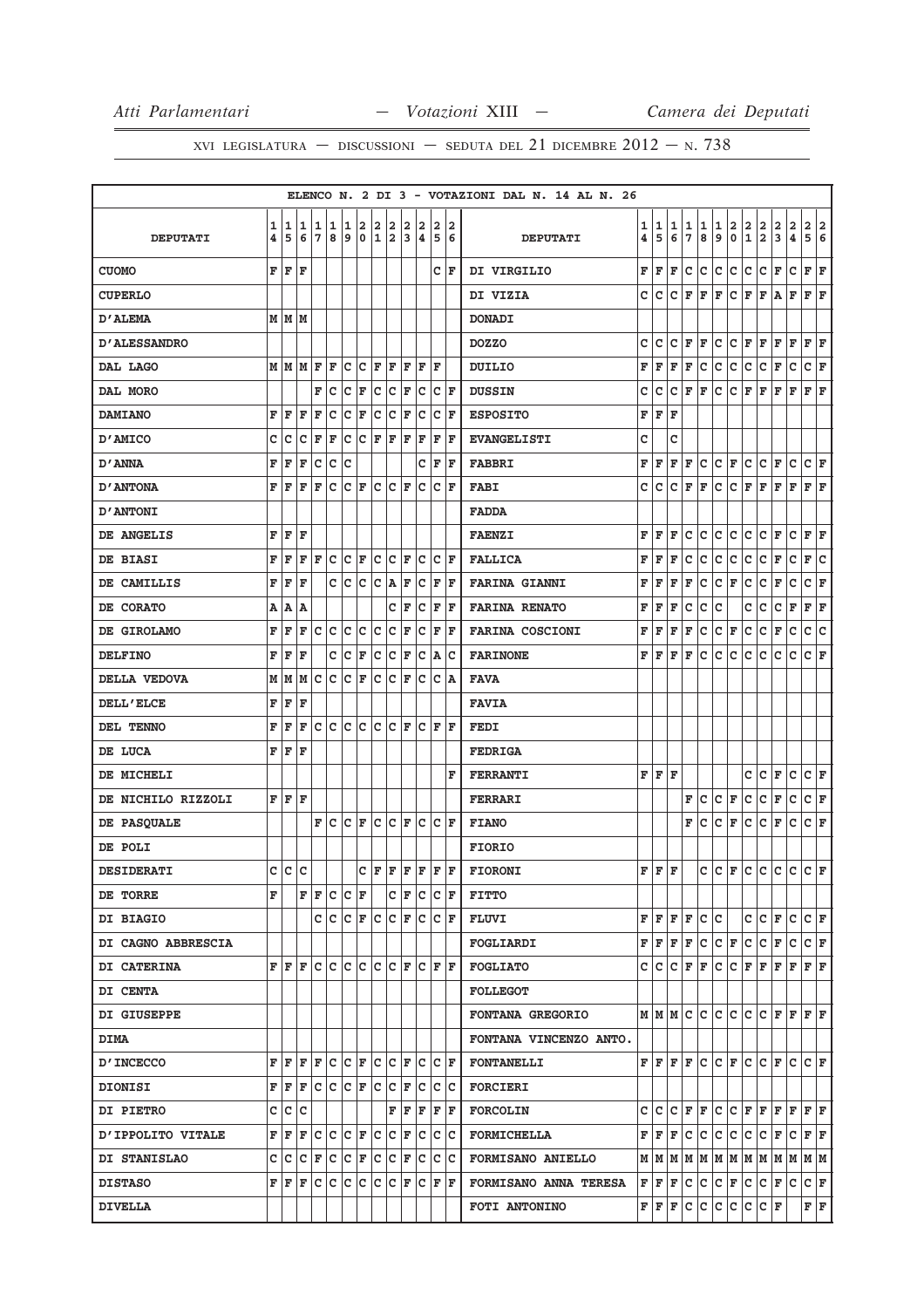|                     |        |                |                                                                                                                                                                                                                                                  |        |              |             |     |                                                |           |     |                                                                                                                    |                      |                                                     |   | ELENCO N. 2 DI 3 - VOTAZIONI DAL N. 14 AL N. 26 |                         |             |        |               |                                   |                                       |                                   |                                                              |                      |                                                                                                                                                                                                                                                                                                                                                                                                                                                                                            |               |                                      |     |
|---------------------|--------|----------------|--------------------------------------------------------------------------------------------------------------------------------------------------------------------------------------------------------------------------------------------------|--------|--------------|-------------|-----|------------------------------------------------|-----------|-----|--------------------------------------------------------------------------------------------------------------------|----------------------|-----------------------------------------------------|---|-------------------------------------------------|-------------------------|-------------|--------|---------------|-----------------------------------|---------------------------------------|-----------------------------------|--------------------------------------------------------------|----------------------|--------------------------------------------------------------------------------------------------------------------------------------------------------------------------------------------------------------------------------------------------------------------------------------------------------------------------------------------------------------------------------------------------------------------------------------------------------------------------------------------|---------------|--------------------------------------|-----|
| <b>DEPUTATI</b>     | 1<br>4 | 1<br>5         | 1<br>6                                                                                                                                                                                                                                           | 1<br>7 | 1<br>8       | 1<br>9      |     | $\begin{bmatrix} 2 & 2 \\ 0 & 1 \end{bmatrix}$ |           |     | $\begin{array}{ c c c }\n2 & 2 & 2 \\ 2 & 3 & 4\n\end{array}$                                                      |                      | $\begin{array}{ c c }\n2 & 2 \\ 5 & 6\n\end{array}$ |   | <b>DEPUTATI</b>                                 | 1<br>4                  | 1<br>5      | 1<br>6 | $\frac{1}{7}$ | 1<br>8                            | $\begin{array}{c} 1 \\ 9 \end{array}$ | $\frac{2}{0}$                     | $\left  \begin{smallmatrix} 2 \ 1 \end{smallmatrix} \right $ | $\frac{2}{2}$        | $\mathbf{2}$<br>$\overline{3}$                                                                                                                                                                                                                                                                                                                                                                                                                                                             | $\frac{2}{4}$ | 2 2<br>$\overline{5}$ $\overline{6}$ |     |
| <b>CUOMO</b>        | F      | İF             | F                                                                                                                                                                                                                                                |        |              |             |     |                                                |           |     |                                                                                                                    |                      | CF                                                  |   | DI VIRGILIO                                     | F                       | F           | F      | c             | c                                 | c                                     | c                                 | c                                                            | lc.                  | F                                                                                                                                                                                                                                                                                                                                                                                                                                                                                          | c             | F F                                  |     |
| <b>CUPERLO</b>      |        |                |                                                                                                                                                                                                                                                  |        |              |             |     |                                                |           |     |                                                                                                                    |                      |                                                     |   | DI VIZIA                                        | c                       | lc.         |        |               | $C$ $F$ $F$                       | lF.                                   |                                   |                                                              |                      | C F F A F                                                                                                                                                                                                                                                                                                                                                                                                                                                                                  |               | F F                                  |     |
| <b>D'ALEMA</b>      |        | м   м   м      |                                                                                                                                                                                                                                                  |        |              |             |     |                                                |           |     |                                                                                                                    |                      |                                                     |   | <b>DONADI</b>                                   |                         |             |        |               |                                   |                                       |                                   |                                                              |                      |                                                                                                                                                                                                                                                                                                                                                                                                                                                                                            |               |                                      |     |
| <b>D'ALESSANDRO</b> |        |                |                                                                                                                                                                                                                                                  |        |              |             |     |                                                |           |     |                                                                                                                    |                      |                                                     |   | <b>DOZZO</b>                                    | c                       | c           |        |               | $ C $ $\mathbf{F}$ $ \mathbf{F} $ |                                       |                                   |                                                              |                      | C C F F F F F F F                                                                                                                                                                                                                                                                                                                                                                                                                                                                          |               |                                      |     |
| DAL LAGO            |        | мIм            | lм                                                                                                                                                                                                                                               | F      | l F          |             |     | C C F F                                        |           | lF. | lF.                                                                                                                | ١F                   |                                                     |   | <b>DUILIO</b>                                   | F                       | $F$ $F$ $F$ |        |               | c                                 | c c                                   |                                   | c c                                                          |                      | F                                                                                                                                                                                                                                                                                                                                                                                                                                                                                          | lc.           | C F                                  |     |
| DAL MORO            |        |                |                                                                                                                                                                                                                                                  | F      | c            | c           | F   |                                                | C C F     |     | lc                                                                                                                 |                      | $ {\bf C}  {\bf F} $                                |   | <b>DUSSIN</b>                                   | c                       | c           |        |               | $ C $ $\mathbf{F}$ $ \mathbf{F} $ | c                                     | $ C $ $\mathbf{F}$ $ \mathbf{F} $ |                                                              |                      | F                                                                                                                                                                                                                                                                                                                                                                                                                                                                                          | F             | F                                    | F   |
| <b>DAMIANO</b>      | F      | ΙF             | F                                                                                                                                                                                                                                                | F      | c            | c           | F   | c                                              | c         | F   | Iс                                                                                                                 |                      | $ C $ F                                             |   | <b>ESPOSITO</b>                                 | F                       | F           | F      |               |                                   |                                       |                                   |                                                              |                      |                                                                                                                                                                                                                                                                                                                                                                                                                                                                                            |               |                                      |     |
| D'AMICO             | c      | c              | C                                                                                                                                                                                                                                                | F      | F            | с           |     |                                                | C F F F   |     | F                                                                                                                  | F                    | ΙF                                                  |   | <b>EVANGELISTI</b>                              | c                       |             | c      |               |                                   |                                       |                                   |                                                              |                      |                                                                                                                                                                                                                                                                                                                                                                                                                                                                                            |               |                                      |     |
| D'ANNA              | F      | F              | F                                                                                                                                                                                                                                                | c      | $\mathbf{C}$ | c           |     |                                                |           |     | C                                                                                                                  |                      | F F                                                 |   | <b>FABBRI</b>                                   | F                       | F           | F      | F             | c                                 | $ {\bf C}  {\bf F} $                  |                                   |                                                              | $ C C $ $\mathbf{F}$ |                                                                                                                                                                                                                                                                                                                                                                                                                                                                                            | lc.           | $ {\bf C}  {\bf F} $                 |     |
| <b>D'ANTONA</b>     | F      | F              | F                                                                                                                                                                                                                                                | F      | c            |             | C F |                                                | $ C C $ F |     | lc.                                                                                                                |                      | $ {\bf C}  {\bf F} $                                |   | <b>FABI</b>                                     | c                       | c           | c      | F             | F                                 | c                                     | C F F                             |                                                              |                      | F                                                                                                                                                                                                                                                                                                                                                                                                                                                                                          | lF.           | $\bf F \,   \bf F$                   |     |
| <b>D'ANTONI</b>     |        |                |                                                                                                                                                                                                                                                  |        |              |             |     |                                                |           |     |                                                                                                                    |                      |                                                     |   | <b>FADDA</b>                                    |                         |             |        |               |                                   |                                       |                                   |                                                              |                      |                                                                                                                                                                                                                                                                                                                                                                                                                                                                                            |               |                                      |     |
| DE ANGELIS          | F      | F              | l F                                                                                                                                                                                                                                              |        |              |             |     |                                                |           |     |                                                                                                                    |                      |                                                     |   | <b>FAENZI</b>                                   | $\overline{\mathbf{F}}$ | F           | F      | c             | c                                 |                                       | c c c c                           |                                                              |                      | F                                                                                                                                                                                                                                                                                                                                                                                                                                                                                          | c             | $\mathbf{F} \mathbf{F}$              |     |
| DE BIASI            | F      | F              | F                                                                                                                                                                                                                                                | F      | c            |             |     |                                                | C F C C F |     | lc.                                                                                                                |                      | C F                                                 |   | <b>FALLICA</b>                                  | F                       | F           | l F    | c             | lc.                               | c                                     | c                                 | c                                                            | c                    | F                                                                                                                                                                                                                                                                                                                                                                                                                                                                                          | c             | F                                    | lc. |
| DE CAMILLIS         | F      | F              | F                                                                                                                                                                                                                                                |        |              | C C C C A F |     |                                                |           |     |                                                                                                                    |                      | $C$ $F$ $F$                                         |   | <b>FARINA GIANNI</b>                            | F                       | F           | F      | F             | c                                 | $ {\tt C}\, $ F                       |                                   | c.                                                           | c                    | F                                                                                                                                                                                                                                                                                                                                                                                                                                                                                          | $\mathtt{C}$  | C F                                  |     |
| DE CORATO           | A      | A              | А                                                                                                                                                                                                                                                |        |              |             |     |                                                |           | C F |                                                                                                                    | $ {\bf C}  {\bf F} $ | ١F                                                  |   | <b>FARINA RENATO</b>                            | F                       | F           | F      | $\mathtt{C}$  | c                                 | c                                     |                                   | c                                                            | c                    | lc.                                                                                                                                                                                                                                                                                                                                                                                                                                                                                        | F             | F                                    | F   |
| DE GIROLAMO         | F      | F              | F                                                                                                                                                                                                                                                | c      | c            | c           | c   |                                                | $ C C $ F |     |                                                                                                                    |                      | $C$ $F$ $F$                                         |   | <b>FARINA COSCIONI</b>                          | F                       | F           | F      | F             | c                                 | $ {\bf C}  {\bf F} $                  |                                   | lc.                                                          | c                    | F                                                                                                                                                                                                                                                                                                                                                                                                                                                                                          | $\mathtt{C}$  | c                                    | lc. |
| <b>DELFINO</b>      | F      | F              | F                                                                                                                                                                                                                                                |        | с            | c           | F   | c                                              | c         | F   |                                                                                                                    |                      | $ C $ $\triangle$ $ C $                             |   | <b>FARINONE</b>                                 | F                       | l F         | F      | F             | lc.                               | c                                     | lc.                               | lc.                                                          | lc.                  | c                                                                                                                                                                                                                                                                                                                                                                                                                                                                                          | c             | $ C $ F                              |     |
| DELLA VEDOVA        | M      | M              | M                                                                                                                                                                                                                                                | lc.    | c            | c           | F   |                                                | $ c c _F$ |     |                                                                                                                    |                      | $ c c $ A                                           |   | <b>FAVA</b>                                     |                         |             |        |               |                                   |                                       |                                   |                                                              |                      |                                                                                                                                                                                                                                                                                                                                                                                                                                                                                            |               |                                      |     |
| <b>DELL'ELCE</b>    | F      | F              | F                                                                                                                                                                                                                                                |        |              |             |     |                                                |           |     |                                                                                                                    |                      |                                                     |   | <b>FAVIA</b>                                    |                         |             |        |               |                                   |                                       |                                   |                                                              |                      |                                                                                                                                                                                                                                                                                                                                                                                                                                                                                            |               |                                      |     |
| DEL TENNO           | F      | ΙF             | F                                                                                                                                                                                                                                                | c      | c            |             |     |                                                |           |     | C C C F C F F                                                                                                      |                      |                                                     |   | <b>FEDI</b>                                     |                         |             |        |               |                                   |                                       |                                   |                                                              |                      |                                                                                                                                                                                                                                                                                                                                                                                                                                                                                            |               |                                      |     |
| DE LUCA             | F      | F              | ΙF                                                                                                                                                                                                                                               |        |              |             |     |                                                |           |     |                                                                                                                    |                      |                                                     |   | <b>FEDRIGA</b>                                  |                         |             |        |               |                                   |                                       |                                   |                                                              |                      |                                                                                                                                                                                                                                                                                                                                                                                                                                                                                            |               |                                      |     |
| DE MICHELI          |        |                |                                                                                                                                                                                                                                                  |        |              |             |     |                                                |           |     |                                                                                                                    |                      |                                                     | F | <b>FERRANTI</b>                                 |                         | FFF         |        |               |                                   |                                       |                                   | c                                                            | lc.                  | F                                                                                                                                                                                                                                                                                                                                                                                                                                                                                          | $\mathbf{C}$  | C F                                  |     |
| DE NICHILO RIZZOLI  |        | F F F          |                                                                                                                                                                                                                                                  |        |              |             |     |                                                |           |     |                                                                                                                    |                      |                                                     |   | <b>FERRARI</b>                                  |                         |             |        | F             | lc.                               | $ C $ F                               |                                   | c.                                                           | c                    | F                                                                                                                                                                                                                                                                                                                                                                                                                                                                                          | c             | $ c _{\mathbf{F}}$                   |     |
| DE PASQUALE         |        |                |                                                                                                                                                                                                                                                  | F      | c            |             |     |                                                |           |     | $ {\mathbf C}\, {\mathbf F}\, {\mathbf C}\, {\mathbf C}\, {\mathbf F}\, {\mathbf C}\, {\mathbf C}\, {\mathbf F}\,$ |                      |                                                     |   | <b>FIANO</b>                                    |                         |             |        | F             | c                                 | C F                                   |                                   | lc.                                                          | lc.                  | lF.                                                                                                                                                                                                                                                                                                                                                                                                                                                                                        | c             | $ {\bf C}  {\bf F} $                 |     |
| DE POLI             |        |                |                                                                                                                                                                                                                                                  |        |              |             |     |                                                |           |     |                                                                                                                    |                      |                                                     |   | <b>FIORIO</b>                                   |                         |             |        |               |                                   |                                       |                                   |                                                              |                      |                                                                                                                                                                                                                                                                                                                                                                                                                                                                                            |               |                                      |     |
| <b>DESIDERATI</b>   | C.     | $ \mathsf{c} $ | lc                                                                                                                                                                                                                                               |        |              |             |     |                                                |           |     |                                                                                                                    |                      |                                                     |   | $C F F F F F F $ FIORONI                        | F.                      | F.          | F      |               |                                   |                                       |                                   |                                                              |                      | $ c c _F c c c c c _F$                                                                                                                                                                                                                                                                                                                                                                                                                                                                     |               |                                      |     |
| DE TORRE            | F      |                |                                                                                                                                                                                                                                                  | F F    |              | C C F       |     |                                                |           |     | C F C C F                                                                                                          |                      |                                                     |   | <b>FITTO</b>                                    |                         |             |        |               |                                   |                                       |                                   |                                                              |                      |                                                                                                                                                                                                                                                                                                                                                                                                                                                                                            |               |                                      |     |
| DI BIAGIO           |        |                |                                                                                                                                                                                                                                                  |        |              |             |     |                                                |           |     | c c c F c c F c c F                                                                                                |                      |                                                     |   | FLUVI                                           |                         |             |        |               | F F F F C C                       |                                       |                                   |                                                              |                      | C C F C C F                                                                                                                                                                                                                                                                                                                                                                                                                                                                                |               |                                      |     |
| DI CAGNO ABBRESCIA  |        |                |                                                                                                                                                                                                                                                  |        |              |             |     |                                                |           |     |                                                                                                                    |                      |                                                     |   | <b>FOGLIARDI</b>                                |                         |             |        |               |                                   |                                       |                                   |                                                              |                      | $\mathbf{F} \left[ \mathbf{F} \left  \mathbf{F} \right. \right  \mathbf{F} \left  \mathbf{C} \left. \right  \mathbf{C} \left. \right  \mathbf{F} \left. \right  \mathbf{C} \left. \right  \mathbf{F} \left. \right  \mathbf{C} \left. \right  \mathbf{F} \right]$                                                                                                                                                                                                                          |               |                                      |     |
| DI CATERINA         |        |                | $\mathbf{F} \,   \, \mathbf{F} \,   \, \mathbf{F} \,   \, \mathbf{C} \,   \, \mathbf{C} \,   \, \mathbf{C} \,   \, \mathbf{C} \,   \, \mathbf{C} \,   \, \mathbf{F} \,   \, \mathbf{C} \,   \, \mathbf{F} \,   \, \mathbf{F} \,   \, \mathbf{F}$ |        |              |             |     |                                                |           |     |                                                                                                                    |                      |                                                     |   | FOGLIATO                                        |                         |             |        |               |                                   |                                       |                                   |                                                              |                      | $C C C F F C C F F F F F F F F$                                                                                                                                                                                                                                                                                                                                                                                                                                                            |               |                                      |     |
| <b>DI CENTA</b>     |        |                |                                                                                                                                                                                                                                                  |        |              |             |     |                                                |           |     |                                                                                                                    |                      |                                                     |   | <b>FOLLEGOT</b>                                 |                         |             |        |               |                                   |                                       |                                   |                                                              |                      |                                                                                                                                                                                                                                                                                                                                                                                                                                                                                            |               |                                      |     |
| DI GIUSEPPE         |        |                |                                                                                                                                                                                                                                                  |        |              |             |     |                                                |           |     |                                                                                                                    |                      |                                                     |   | <b>FONTANA GREGORIO</b>                         |                         |             |        |               |                                   |                                       |                                   |                                                              |                      | MMMCCCCCCCCFFFF                                                                                                                                                                                                                                                                                                                                                                                                                                                                            |               |                                      |     |
| <b>DIMA</b>         |        |                |                                                                                                                                                                                                                                                  |        |              |             |     |                                                |           |     |                                                                                                                    |                      |                                                     |   | FONTANA VINCENZO ANTO.                          |                         |             |        |               |                                   |                                       |                                   |                                                              |                      |                                                                                                                                                                                                                                                                                                                                                                                                                                                                                            |               |                                      |     |
| <b>D'INCECCO</b>    |        |                |                                                                                                                                                                                                                                                  |        |              |             |     |                                                |           |     |                                                                                                                    |                      |                                                     |   | $F F F F C C F C F C F C F $ FONTANELLI         |                         |             |        |               |                                   |                                       |                                   |                                                              |                      | ${\bf F}$ $\bf F$ $\bf F$ $\bf F$ $\bf C$ $\bf C$ $\bf F$ $\bf C$ $\bf C$ $\bf F$ $\bf C$ $\bf C$ $\bf F$                                                                                                                                                                                                                                                                                                                                                                                  |               |                                      |     |
| DIONISI             |        |                | ${\bf F}$ $\bf F$ $\bf F$ $\bf C$ $\bf C$ $\bf C$ $\bf F$ $\bf C$ $\bf C$ $\bf F$ $\bf C$ $\bf C$ $\bf C$                                                                                                                                        |        |              |             |     |                                                |           |     |                                                                                                                    |                      |                                                     |   | <b>FORCIERI</b>                                 |                         |             |        |               |                                   |                                       |                                   |                                                              |                      |                                                                                                                                                                                                                                                                                                                                                                                                                                                                                            |               |                                      |     |
| <b>DI PIETRO</b>    |        | c  c           | Iс                                                                                                                                                                                                                                               |        |              |             |     |                                                |           |     | F F F F F                                                                                                          |                      |                                                     |   | <b>FORCOLIN</b>                                 |                         |             |        |               |                                   |                                       |                                   |                                                              |                      | $C  C   C   F   F   C   C   F   F   F   F   F   F $                                                                                                                                                                                                                                                                                                                                                                                                                                        |               |                                      |     |
| D'IPPOLITO VITALE   |        |                | F F F C C C F C C F C C C                                                                                                                                                                                                                        |        |              |             |     |                                                |           |     |                                                                                                                    |                      |                                                     |   | <b>FORMICHELLA</b>                              |                         |             |        |               |                                   |                                       |                                   |                                                              |                      | F F F C C C C C C F C F F F                                                                                                                                                                                                                                                                                                                                                                                                                                                                |               |                                      |     |
| DI STANISLAO        |        | c c            | lc.                                                                                                                                                                                                                                              | F      | c            |             |     |                                                |           |     | C F C C F C C C                                                                                                    |                      |                                                     |   | <b>FORMISANO ANIELLO</b>                        |                         |             |        |               |                                   |                                       |                                   |                                                              |                      | $M$   $M$   $M$   $M$   $M$   $M$   $M$   $M$   $M$   $M$                                                                                                                                                                                                                                                                                                                                                                                                                                  |               | MM                                   |     |
| <b>DISTASO</b>      |        |                | ${\bf F}$ $\bf F$ $\bf F$                                                                                                                                                                                                                        | lc.    | $\mathbf{C}$ | c           |     |                                                |           |     |                                                                                                                    |                      |                                                     |   | <b>FORMISANO ANNA TERESA</b>                    |                         |             |        |               |                                   |                                       |                                   |                                                              |                      | $\mathbf{F} \left  \mathbf{F} \right. \left  \mathbf{C} \right. \left  \mathbf{C} \right. \left  \mathbf{C} \right. \left  \mathbf{F} \right. \left  \mathbf{C} \right. \left  \mathbf{C} \right. \left  \mathbf{F} \right. \left  \mathbf{C} \right. \left  \mathbf{C} \right. \left  \mathbf{F} \right. \left  \mathbf{C} \right. \left  \mathbf{F} \right. \left  \mathbf{C} \right. \left  \mathbf{F} \right. \left  \mathbf{C} \right. \left  \mathbf{F} \right. \left  \mathbf{C} \$ |               |                                      |     |
| <b>DIVELLA</b>      |        |                |                                                                                                                                                                                                                                                  |        |              |             |     |                                                |           |     |                                                                                                                    |                      |                                                     |   | FOTI ANTONINO                                   |                         |             |        |               |                                   |                                       |                                   |                                                              | F F F C C C C C C F  |                                                                                                                                                                                                                                                                                                                                                                                                                                                                                            |               | F F                                  |     |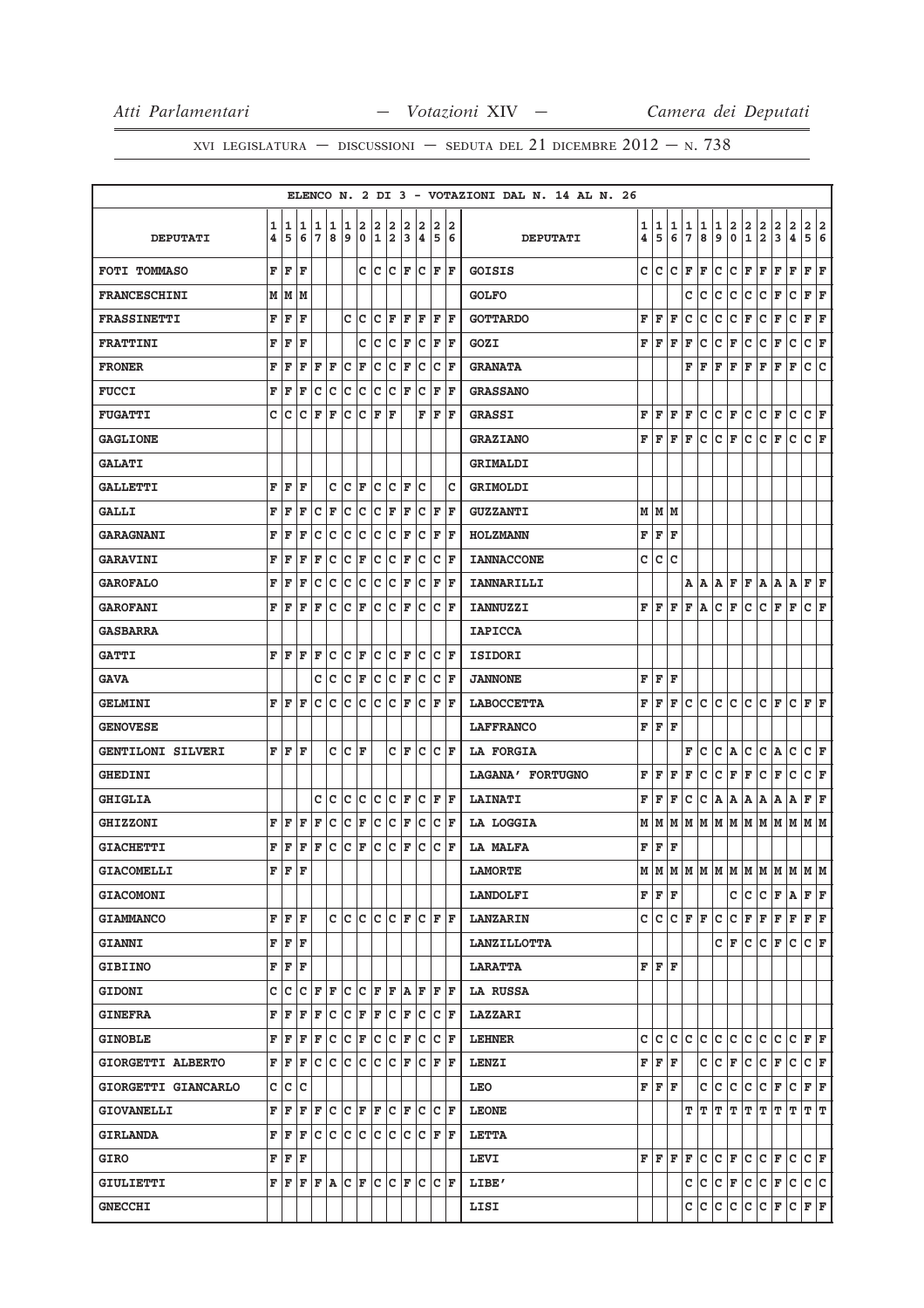|                          |   |    |       |             |     |       |     |     |                      |     |                                                                                                                                                                                                                                                                                                                                                                                                                                                                                            |    |                                   |    | ELENCO N. 2 DI 3 - VOTAZIONI DAL N. 14 AL N. 26 |   |             |    |               |               |              |               |               |                         |               |                               |                                       |                         |
|--------------------------|---|----|-------|-------------|-----|-------|-----|-----|----------------------|-----|--------------------------------------------------------------------------------------------------------------------------------------------------------------------------------------------------------------------------------------------------------------------------------------------------------------------------------------------------------------------------------------------------------------------------------------------------------------------------------------------|----|-----------------------------------|----|-------------------------------------------------|---|-------------|----|---------------|---------------|--------------|---------------|---------------|-------------------------|---------------|-------------------------------|---------------------------------------|-------------------------|
|                          | 1 | 1  | 1     | 1           | 1   | 1     | 2   | 2   | 2                    | 2   | 2                                                                                                                                                                                                                                                                                                                                                                                                                                                                                          | 2  |                                   | 2  |                                                 | 1 | 1           | 1  |               |               | $\mathbf{1}$ |               |               |                         |               |                               |                                       | $\overline{\mathbf{2}}$ |
| <b>DEPUTATI</b>          | 4 | 5  | 6     | 7           | 8   | 9     |     |     | 0 1 2                | 3   | 14                                                                                                                                                                                                                                                                                                                                                                                                                                                                                         | 5  | 6                                 |    | <b>DEPUTATI</b>                                 | 4 | 5           | 6  | $\frac{1}{7}$ | $\frac{1}{8}$ | 9            | $\frac{2}{0}$ | $\frac{2}{1}$ | $\frac{2}{2}$           | $\frac{2}{3}$ | $\frac{2}{4}$                 | $\begin{array}{c} 2 \\ 5 \end{array}$ | 6                       |
| <b>FOTI TOMMASO</b>      | F | F  | F     |             |     |       |     |     | C C C F              |     |                                                                                                                                                                                                                                                                                                                                                                                                                                                                                            |    | C F F                             |    | <b>GOISIS</b>                                   | c | c           | c  | F             | F             | c            | c             | F             | F                       | F             | F                             | F                                     | ΙF                      |
| <b>FRANCESCHINI</b>      |   | МM | lм    |             |     |       |     |     |                      |     |                                                                                                                                                                                                                                                                                                                                                                                                                                                                                            |    |                                   |    | <b>GOLFO</b>                                    |   |             |    | $\mathbf C$   | с             | с            | c             | с             | c                       | F             | c                             | F F                                   |                         |
| <b>FRASSINETTI</b>       | F | F  | F     |             |     |       | c c | c   | ΙF                   | F   | lF                                                                                                                                                                                                                                                                                                                                                                                                                                                                                         | F  | ١F                                |    | <b>GOTTARDO</b>                                 | F | F           | F  | c             | с             | с            | с             | F             | с                       | F             | с                             | F                                     | F                       |
| <b>FRATTINI</b>          | F | F  | F     |             |     |       | с   | c   | c                    | F   |                                                                                                                                                                                                                                                                                                                                                                                                                                                                                            |    | C F F                             |    | GOZI                                            | F | F           | F  | F             | с             | с            | F             | с             | с                       | F             | c                             | C F                                   |                         |
| <b>FRONER</b>            | F | F  | F     | F           | F   | c     | F   | c   | c                    | F   | c                                                                                                                                                                                                                                                                                                                                                                                                                                                                                          |    | $ c _F$                           |    | <b>GRANATA</b>                                  |   |             |    | F             | F             | F            | F             | F             | F                       | F             | $\mathbf F$                   | c                                     | c                       |
| <b>FUCCI</b>             | F | F  | F     | c           | C   | c c   |     |     | c c                  | F   | lc                                                                                                                                                                                                                                                                                                                                                                                                                                                                                         | F  | ΙF                                |    | <b>GRASSANO</b>                                 |   |             |    |               |               |              |               |               |                         |               |                               |                                       |                         |
| <b>FUGATTI</b>           | c | c  | с     | F           | F   | c     | c   | F   | ΙF                   |     | F                                                                                                                                                                                                                                                                                                                                                                                                                                                                                          |    | F F                               |    | <b>GRASSI</b>                                   | F | F           | F  | F             | c             | с            | F             | с             | c                       | F             | c                             | C F                                   |                         |
| <b>GAGLIONE</b>          |   |    |       |             |     |       |     |     |                      |     |                                                                                                                                                                                                                                                                                                                                                                                                                                                                                            |    |                                   |    | <b>GRAZIANO</b>                                 | F | F           | F  | F             | с             | c            | F             | c             | c                       | F             | c                             | C F                                   |                         |
| <b>GALATI</b>            |   |    |       |             |     |       |     |     |                      |     |                                                                                                                                                                                                                                                                                                                                                                                                                                                                                            |    |                                   |    | GRIMALDI                                        |   |             |    |               |               |              |               |               |                         |               |                               |                                       |                         |
| <b>GALLETTI</b>          | F | F  | F     |             | c   | c     | F   | c   | Iс                   | F   | c                                                                                                                                                                                                                                                                                                                                                                                                                                                                                          |    |                                   | Ιc | GRIMOLDI                                        |   |             |    |               |               |              |               |               |                         |               |                               |                                       |                         |
| GALLI                    | F | F  | F     | с           | F   | c     | c   |     | $ {\bf C}  {\bf F} $ | F   |                                                                                                                                                                                                                                                                                                                                                                                                                                                                                            |    | C F F                             |    | <b>GUZZANTI</b>                                 |   | MMM         |    |               |               |              |               |               |                         |               |                               |                                       |                         |
| <b>GARAGNANI</b>         | F | F  | F     | c           | c   | c     | c   | c   | c                    | F   | c                                                                                                                                                                                                                                                                                                                                                                                                                                                                                          | F  | ΙF                                |    | <b>HOLZMANN</b>                                 | F | $\mathbf F$ | F  |               |               |              |               |               |                         |               |                               |                                       |                         |
| <b>GARAVINI</b>          | F | F  | F     | F           | C   | C     | F   | c   | c                    | ΙF  | lc                                                                                                                                                                                                                                                                                                                                                                                                                                                                                         |    | $ {\bf C}  {\bf F} $              |    | <b>IANNACCONE</b>                               | c | c           | C  |               |               |              |               |               |                         |               |                               |                                       |                         |
| <b>GAROFALO</b>          | F | F  | F     | с           | c   | c     | c   |     | c c                  | ΙF  |                                                                                                                                                                                                                                                                                                                                                                                                                                                                                            |    | $C$ $F$ $F$                       |    | <b>IANNARILLI</b>                               |   |             |    | А             | Α             | А            | F             |               | F A                     | A             | Α                             | F F                                   |                         |
| <b>GAROFANI</b>          | F | F  | F     | F           | c   | c     | ΙF  | lc. | Iс                   | ١F  | lc                                                                                                                                                                                                                                                                                                                                                                                                                                                                                         | lc | ΙF                                |    | <b>IANNUZZI</b>                                 | F | F           | F  | F             | Α             | c            | F             | c             | c                       | F             | F                             | C F                                   |                         |
| <b>GASBARRA</b>          |   |    |       |             |     |       |     |     |                      |     |                                                                                                                                                                                                                                                                                                                                                                                                                                                                                            |    |                                   |    | <b>IAPICCA</b>                                  |   |             |    |               |               |              |               |               |                         |               |                               |                                       |                         |
| <b>GATTI</b>             | F | F  | F     | F           | с   | с     | F   | c   | Iс                   | F   | Iс                                                                                                                                                                                                                                                                                                                                                                                                                                                                                         |    | $ {\bf C}  {\bf F} $              |    | <b>ISIDORI</b>                                  |   |             |    |               |               |              |               |               |                         |               |                               |                                       |                         |
| <b>GAVA</b>              |   |    |       | c           | c   | c     | F   |     | c c                  | F   | ∣c                                                                                                                                                                                                                                                                                                                                                                                                                                                                                         |    | $ C $ F                           |    | <b>JANNONE</b>                                  | F | F           | F  |               |               |              |               |               |                         |               |                               |                                       |                         |
| <b>GELMINI</b>           | F | ΙF | F     | c           | c   | c     | c.  |     | C C F                |     |                                                                                                                                                                                                                                                                                                                                                                                                                                                                                            |    | $ C $ $\mathbf{F}$ $ \mathbf{F} $ |    | <b>LABOCCETTA</b>                               | F | F           | F  | с             | c             | c            | c             | c             | c                       | F             | c                             | F F                                   |                         |
| <b>GENOVESE</b>          |   |    |       |             |     |       |     |     |                      |     |                                                                                                                                                                                                                                                                                                                                                                                                                                                                                            |    |                                   |    | <b>LAFFRANCO</b>                                | F | $\mathbf F$ | F  |               |               |              |               |               |                         |               |                               |                                       |                         |
| <b>GENTILONI SILVERI</b> |   | FF | F     |             |     | C C F |     |     |                      | C F |                                                                                                                                                                                                                                                                                                                                                                                                                                                                                            |    | $ C C $ F                         |    | LA FORGIA                                       |   |             |    | F             | c             | с            | Α             | с             | c                       | Α             | c                             | C F                                   |                         |
| <b>GHEDINI</b>           |   |    |       |             |     |       |     |     |                      |     |                                                                                                                                                                                                                                                                                                                                                                                                                                                                                            |    |                                   |    | LAGANA' FORTUGNO                                | F | F           | F  | F             | с             | с            | F             | F             | с                       | F             | с                             | CF                                    |                         |
| <b>GHIGLIA</b>           |   |    |       |             | C C |       |     |     | $ c c c c _F$        |     |                                                                                                                                                                                                                                                                                                                                                                                                                                                                                            |    | C F F                             |    | <b>LAINATI</b>                                  | F | F           | F  | с             | с             | Α            | Α             | Α             | Α                       | Α             | Α                             | F F                                   |                         |
| <b>GHIZZONI</b>          | F | F  | F     | F           | с   | с     | F   | c   | c                    | F   | Iс                                                                                                                                                                                                                                                                                                                                                                                                                                                                                         |    | $ {\bf C}  {\bf F} $              |    | LA LOGGIA                                       | М | М           | М  | М             | М             | М            | М             | М             | M                       | M M           |                               | MM                                    |                         |
| <b>GIACHETTI</b>         | F | F  | F     | F           | C   | c     | F   | c   | c                    | F   | c                                                                                                                                                                                                                                                                                                                                                                                                                                                                                          |    | $ c _F$                           |    | <b>LA MALFA</b>                                 | F | F           | F  |               |               |              |               |               |                         |               |                               |                                       |                         |
| <b>GIACOMELLI</b>        | F | F  | F     |             |     |       |     |     |                      |     |                                                                                                                                                                                                                                                                                                                                                                                                                                                                                            |    |                                   |    | <b>LAMORTE</b>                                  | M | M           |    |               |               |              |               |               |                         |               | IM IM IM IM IM IM IM IM IM IM |                                       |                         |
| <b>GIACOMONI</b>         |   |    |       |             |     |       |     |     |                      |     |                                                                                                                                                                                                                                                                                                                                                                                                                                                                                            |    |                                   |    | <b>LANDOLFI</b>                                 |   | FF          | F  |               |               |              | c             | с             |                         | C F A         |                               | FF                                    |                         |
| <b>GIAMMANCO</b>         |   |    | F F F |             |     |       |     |     |                      |     | C C C C F C F F F                                                                                                                                                                                                                                                                                                                                                                                                                                                                          |    |                                   |    | <b>LANZARIN</b>                                 |   | C C         |    | C F F         |               | c            | c             |               | F F                     | F F           |                               | F F                                   |                         |
| <b>GIANNI</b>            |   |    | F F F |             |     |       |     |     |                      |     |                                                                                                                                                                                                                                                                                                                                                                                                                                                                                            |    |                                   |    | <b>LANZILLOTTA</b>                              |   |             |    |               |               | сI           | F             | c             | $\mathbf{C}$            | F             | c                             | CF                                    |                         |
| <b>GIBIINO</b>           |   |    | F F F |             |     |       |     |     |                      |     |                                                                                                                                                                                                                                                                                                                                                                                                                                                                                            |    |                                   |    | <b>LARATTA</b>                                  |   | F F F       |    |               |               |              |               |               |                         |               |                               |                                       |                         |
| <b>GIDONI</b>            | c | c  |       | $C$ $F$ $F$ |     |       |     |     |                      |     | C C F F A F F F                                                                                                                                                                                                                                                                                                                                                                                                                                                                            |    |                                   |    | <b>LA RUSSA</b>                                 |   |             |    |               |               |              |               |               |                         |               |                               |                                       |                         |
| <b>GINEFRA</b>           |   |    |       |             |     |       |     |     |                      |     | ${\bf F}   {\bf F}   {\bf F}   {\bf F}   {\bf C}   {\bf C}   {\bf F}   {\bf F}   {\bf C}   {\bf F}   {\bf C}   {\bf C}   {\bf F}$                                                                                                                                                                                                                                                                                                                                                          |    |                                   |    | <b>LAZZARI</b>                                  |   |             |    |               |               |              |               |               |                         |               |                               |                                       |                         |
| <b>GINOBLE</b>           |   | FF |       |             |     |       |     |     |                      |     | $\mathbf{F} \mathbf{F} \mathbf{C} \mathbf{C} \mathbf{F} \mathbf{C} \mathbf{F} \mathbf{C} \mathbf{F} \mathbf{C} \mathbf{F}$                                                                                                                                                                                                                                                                                                                                                                 |    |                                   |    | <b>LEHNER</b>                                   | c | c           | c. | c             | c             | c            | c             | c             | c c                     |               | C F F                         |                                       |                         |
| GIORGETTI ALBERTO        |   |    |       |             |     |       |     |     |                      |     | FFFCCCCCCCCFCFCF                                                                                                                                                                                                                                                                                                                                                                                                                                                                           |    |                                   |    | <b>LENZI</b>                                    |   | FF          | F  |               | с             | с            | F             | c             | C F                     |               | c                             | C F                                   |                         |
| GIORGETTI GIANCARLO      |   |    | C C C |             |     |       |     |     |                      |     |                                                                                                                                                                                                                                                                                                                                                                                                                                                                                            |    |                                   |    | LEO                                             | F | F           | F  |               | c             | с            | c             | c             | C F                     |               | $C$ $F$ $F$                   |                                       |                         |
| <b>GIOVANELLI</b>        |   | FF |       |             |     |       |     |     |                      |     | F F C C F F C F C C F                                                                                                                                                                                                                                                                                                                                                                                                                                                                      |    |                                   |    | <b>LEONE</b>                                    |   |             |    | т             | т             | т            | т             | т             | т                       | т             | т                             | TГ                                    |                         |
| <b>GIRLANDA</b>          |   |    |       |             |     |       |     |     |                      |     | F F F C C C C C C C C F F                                                                                                                                                                                                                                                                                                                                                                                                                                                                  |    |                                   |    | <b>LETTA</b>                                    |   |             |    |               |               |              |               |               |                         |               |                               |                                       |                         |
| <b>GIRO</b>              |   | FF | F     |             |     |       |     |     |                      |     |                                                                                                                                                                                                                                                                                                                                                                                                                                                                                            |    |                                   |    | LEVI                                            |   | FF          | F  | F             | c             | C F          |               | c             |                         | $C$ $F$ $C$   |                               | C F                                   |                         |
| GIULIETTI                |   |    |       |             |     |       |     |     |                      |     | $\mathbf{F} \left  \mathbf{F} \right. \left  \mathbf{F} \right. \left  \mathbf{F} \right. \left  \mathbf{C} \right. \left  \mathbf{F} \right. \left  \mathbf{C} \right. \left  \mathbf{C} \right. \left  \mathbf{F} \right. \left  \mathbf{C} \right. \left  \mathbf{C} \right. \left  \mathbf{F} \right. \left  \mathbf{C} \right. \left  \mathbf{F} \right. \left  \mathbf{C} \right. \left  \mathbf{F} \right. \left  \mathbf{C} \right. \left  \mathbf{F} \right. \left  \mathbf{C} \$ |    |                                   |    | LIBE'                                           |   |             |    | $\mathtt{C}$  | с             | C F          |               | $ {\rm c} $   | $ {\tt C}\, {\tt F}\, $ |               | c                             | c c                                   |                         |
| <b>GNECCHI</b>           |   |    |       |             |     |       |     |     |                      |     |                                                                                                                                                                                                                                                                                                                                                                                                                                                                                            |    |                                   |    | LISI                                            |   |             |    | с             | с             | c c          |               |               | c c                     |               | F C F F                       |                                       |                         |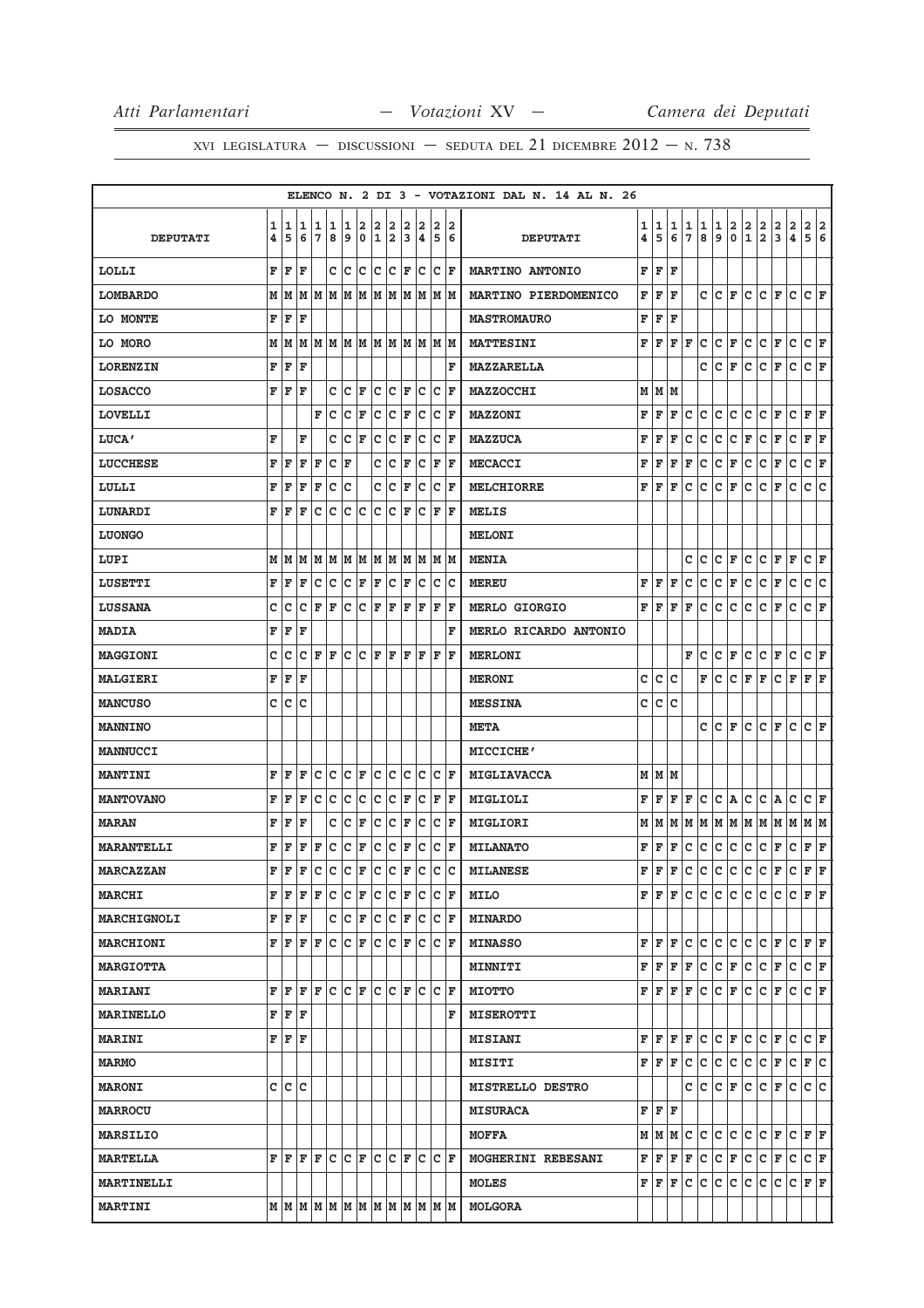|                    |        |        |                                                                                               |        |        |           |     |                   |                      |        |                              |                         |                                   |    | ELENCO N. 2 DI 3 - VOTAZIONI DAL N. 14 AL N. 26 |                              |        |        |              |        |        |               |               |                 |               |               |                                                 |              |
|--------------------|--------|--------|-----------------------------------------------------------------------------------------------|--------|--------|-----------|-----|-------------------|----------------------|--------|------------------------------|-------------------------|-----------------------------------|----|-------------------------------------------------|------------------------------|--------|--------|--------------|--------|--------|---------------|---------------|-----------------|---------------|---------------|-------------------------------------------------|--------------|
| <b>DEPUTATI</b>    | 1<br>4 | 1<br>5 | 1<br>6                                                                                        | 1<br>7 | 1<br>8 | 1<br>9    | 2   | 2<br>0 1 2        | 2                    | 2<br>3 | 2<br>14                      | $\overline{\mathbf{2}}$ | 5 6                               | 12 | <b>DEPUTATI</b>                                 | 1<br>$\overline{\mathbf{4}}$ | 1<br>5 | 1<br>6 | 1<br>7       | 1<br>8 | 1<br>9 | $\frac{2}{0}$ | $\frac{2}{1}$ | $\frac{2}{2}$   | $\frac{2}{3}$ | $\frac{2}{4}$ | $\begin{array}{c c} 2 & 2 \\ 5 & 6 \end{array}$ |              |
| <b>LOLLI</b>       | F      | F      | F                                                                                             |        |        | c  c      | lc. |                   | $ C C $ $\mathbf{F}$ |        | Ιc                           |                         | $ C $ F                           |    | <b>MARTINO ANTONIO</b>                          | F                            | F      | F      |              |        |        |               |               |                 |               |               |                                                 |              |
| <b>LOMBARDO</b>    |        | MN     |                                                                                               |        |        |           |     |                   |                      |        |                              |                         |                                   |    | MARTINO PIERDOMENICO                            | F                            | F      | F      |              | c      | c      | F             | c             | c               | F             | c             | C F                                             |              |
| LO MONTE           | F      | F      | F                                                                                             |        |        |           |     |                   |                      |        |                              |                         |                                   |    | <b>MASTROMAURO</b>                              | F                            | F      | F      |              |        |        |               |               |                 |               |               |                                                 |              |
| LO MORO            | М      | М      | М                                                                                             |        |        |           |     |                   |                      |        | MMMMMMMMMMM                  |                         |                                   |    | <b>MATTESINI</b>                                | F                            | F      | F      | F            | c      | c      | F             | c             | $\mathtt{C}$    | F             | $\mathbf C$   | C F                                             |              |
| <b>LORENZIN</b>    | F      | F      | F                                                                                             |        |        |           |     |                   |                      |        |                              |                         |                                   | F  | MAZZARELLA                                      |                              |        |        |              | c      | c      | F             | c             | c               | F             | $\mathbf{C}$  | C F                                             |              |
| <b>LOSACCO</b>     | F      | F      | F                                                                                             |        | c      | Ιc        | F   |                   | c c                  | F      | Iс                           |                         | $ {\tt C}  {\tt F}$               |    | <b>MAZZOCCHI</b>                                |                              | мIм    | M      |              |        |        |               |               |                 |               |               |                                                 |              |
| <b>LOVELLI</b>     |        |        |                                                                                               | F      | c      | c         | F   | c.                | C F                  |        | lc.                          |                         | $ {\bf C}  {\bf F} $              |    | <b>MAZZONI</b>                                  | F                            | F      | F      | c            | c      | с      | c             | с             | c               | F             | c             | F F                                             |              |
| LUCA'              | F      |        | F                                                                                             |        | c      | c         | F   | c                 | c                    | ΙF     | Iс                           | lc.                     | ١F                                |    | <b>MAZZUCA</b>                                  | F                            | F      | F      | с            | с      | с      | с             | F             | с               | F             | с             | F                                               | F            |
| <b>LUCCHESE</b>    |        | FF     | F                                                                                             | F      | C F    |           |     |                   | c c                  | F      | c                            |                         | F F                               |    | <b>MECACCI</b>                                  | F                            | F      | F      | F            | с      | с      | F             | с             | с               | F             | c             | C F                                             |              |
| LULLI              | F      | F      | F                                                                                             | F      | c      | c         |     | c                 | c                    | F      | c                            | c                       | ΙF                                |    | <b>MELCHIORRE</b>                               | F                            | F      | F      | c            | c      | c      | F             | c             | c               | F             | c             | c                                               | c            |
| LUNARDI            | F      | F      | F                                                                                             | c      | C      | lc.       | ∣c  | c c               |                      | ١F     |                              |                         | $ C $ $\mathbf{F}$ $ \mathbf{F} $ |    | MELIS                                           |                              |        |        |              |        |        |               |               |                 |               |               |                                                 |              |
| <b>LUONGO</b>      |        |        |                                                                                               |        |        |           |     |                   |                      |        |                              |                         |                                   |    | <b>MELONI</b>                                   |                              |        |        |              |        |        |               |               |                 |               |               |                                                 |              |
| LUPI               |        |        | M   M   M                                                                                     |        |        |           |     |                   |                      |        | M  M  M  M  M  M  M  M  M  M |                         |                                   |    | <b>MENIA</b>                                    |                              |        |        | с            | с      | с      | F             | с             | с               | F             | F             | C F                                             |              |
| LUSETTI            | F      | F      | F                                                                                             | c      | c      | $ C $ F   |     | F                 | C F                  |        |                              |                         | c c c                             |    | <b>MEREU</b>                                    | F                            | F      | F      | с            | c      | с      | F             | c             | c               | F             | c             | C C                                             |              |
| <b>LUSSANA</b>     | c      | с      | с                                                                                             | F      | F      | c         |     | $ {\tt C} \;  $ F | F                    | F      | F                            | F                       | ΙF                                |    | MERLO GIORGIO                                   | F                            | F      | F      | F            | с      | с      | с             | c             | с               | F             | с             | C F                                             |              |
| <b>MADIA</b>       |        | FF     | F                                                                                             |        |        |           |     |                   |                      |        |                              |                         |                                   | F  | MERLO RICARDO ANTONIO                           |                              |        |        |              |        |        |               |               |                 |               |               |                                                 |              |
| <b>MAGGIONI</b>    | c      | c      | C                                                                                             | F      | F      | c         | lc. | F                 | ΙF                   | F      | ΙF                           | F                       | ΙF                                |    | <b>MERLONI</b>                                  |                              |        |        | F            | с      | c      | F             | c             | c               | F             | c             | C F                                             |              |
| <b>MALGIERI</b>    | F      | F      | F                                                                                             |        |        |           |     |                   |                      |        |                              |                         |                                   |    | <b>MERONI</b>                                   | c                            | c      | c      |              | F      | c      | c             | F             | F               | c             | F             | F F                                             |              |
| <b>MANCUSO</b>     | c      | c      | c                                                                                             |        |        |           |     |                   |                      |        |                              |                         |                                   |    | <b>MESSINA</b>                                  | c                            | c      | c      |              |        |        |               |               |                 |               |               |                                                 |              |
| <b>MANNINO</b>     |        |        |                                                                                               |        |        |           |     |                   |                      |        |                              |                         |                                   |    | <b>META</b>                                     |                              |        |        |              | c      | с      | F             | с             | с               | F             | c             | C F                                             |              |
| <b>MANNUCCI</b>    |        |        |                                                                                               |        |        |           |     |                   |                      |        |                              |                         |                                   |    | MICCICHE'                                       |                              |        |        |              |        |        |               |               |                 |               |               |                                                 |              |
| <b>MANTINI</b>     | F      | F      | F                                                                                             | с      | c      |           | C F |                   | c c                  | Iс     | Iс                           | Iс                      | ١F                                |    | MIGLIAVACCA                                     | М                            |        | MM     |              |        |        |               |               |                 |               |               |                                                 |              |
| <b>MANTOVANO</b>   |        | FF     | F                                                                                             | с      | lc.    | c c       |     |                   | $ C C $ F            |        |                              |                         | C F F                             |    | MIGLIOLI                                        | F                            | F      | F      | F            | с      | C A    |               | с             | C A             |               | с             | C F                                             |              |
| <b>MARAN</b>       | F      | F      | F                                                                                             |        | с      | c         | F   | lc.               | c                    | F      | c                            |                         | $ {\bf C}  {\bf F} $              |    | MIGLIORI                                        | М                            | М      | М      | М            | М      |        |               | м м м м       |                 | MM            |               | MM                                              |              |
| <b>MARANTELLI</b>  | F      | F      | F                                                                                             | F      |        | $ c c _F$ |     |                   | C C F                |        | c                            |                         | C F                               |    | <b>MILANATO</b>                                 | F                            | F      | F      | c            | c      | c      | c             | c             | $\mathtt{C}$    | F             | $\mathbf{C}$  | F F                                             |              |
| <b>MARCAZZAN</b>   | F      | F      |                                                                                               | F C    |        |           |     |                   |                      |        | $c c _F c c _F c c c c $     |                         |                                   |    | <b>MILANESE</b>                                 | F                            | F      | F      | <b>c</b>     | c      | c.     | c             | $\mathbf{C}$  | c l             | F             | lc.           | $_{\rm F}$ $ $                                  | $\mathbf{F}$ |
| <b>MARCHI</b>      | F      | F      |                                                                                               | F F    |        |           |     |                   |                      |        |                              |                         |                                   |    | <b>MILO</b>                                     | F                            | lF.    | F      | c            | c      | c      | c             | c             | C               | c             |               | $C$ $F$ $F$                                     |              |
| <b>MARCHIGNOLI</b> |        |        | F F F                                                                                         |        |        |           |     |                   |                      |        | C C F C C F C C F            |                         |                                   |    | <b>MINARDO</b>                                  |                              |        |        |              |        |        |               |               |                 |               |               |                                                 |              |
| <b>MARCHIONI</b>   |        | FF     |                                                                                               | F F    |        |           |     |                   |                      |        |                              |                         |                                   |    | <b>MINASSO</b>                                  | F                            | F      | F      | с            | с      | c      | c             | c             | C F             |               |               | C F F                                           |              |
| <b>MARGIOTTA</b>   |        |        |                                                                                               |        |        |           |     |                   |                      |        |                              |                         |                                   |    | <b>MINNITI</b>                                  | F                            | F      | F      | F            | c      | C F    |               | c             | $ \mathtt{c} $  | F             | c             | $ C $ F                                         |              |
| <b>MARIANI</b>     |        |        | ${\tt F}{\tt F}{\tt F}{\tt F}{\tt C}{\tt C}{\tt F}{\tt C}{\tt C}{\tt F}{\tt C}{\tt C}{\tt F}$ |        |        |           |     |                   |                      |        |                              |                         |                                   |    | <b>MIOTTO</b>                                   | F                            | F      | F      | F            | c      | C F    |               | c             | $ \mathbf{c} $  | F             | c             | C F                                             |              |
| <b>MARINELLO</b>   |        |        | F F F                                                                                         |        |        |           |     |                   |                      |        |                              |                         |                                   | F  | <b>MISEROTTI</b>                                |                              |        |        |              |        |        |               |               |                 |               |               |                                                 |              |
| <b>MARINI</b>      |        |        | F F F                                                                                         |        |        |           |     |                   |                      |        |                              |                         |                                   |    | <b>MISIANI</b>                                  |                              | FF     | F      | F            | c      | C F    |               | $\mathbf{C}$  | C F             |               | c             | C F                                             |              |
| <b>MARMO</b>       |        |        |                                                                                               |        |        |           |     |                   |                      |        |                              |                         |                                   |    | <b>MISITI</b>                                   |                              | FF     | F      | c            | c      | c      | c             | c             | c               | F             | c             | F C                                             |              |
| <b>MARONI</b>      |        |        | c c c                                                                                         |        |        |           |     |                   |                      |        |                              |                         |                                   |    | <b>MISTRELLO DESTRO</b>                         |                              |        |        | $\mathbf{C}$ | c      | C F    |               | $\mathbf{C}$  | $ {\tt C}\, $ F |               | c             | c c                                             |              |
| <b>MARROCU</b>     |        |        |                                                                                               |        |        |           |     |                   |                      |        |                              |                         |                                   |    | <b>MISURACA</b>                                 |                              | FF     | F      |              |        |        |               |               |                 |               |               |                                                 |              |
| <b>MARSILIO</b>    |        |        |                                                                                               |        |        |           |     |                   |                      |        |                              |                         |                                   |    | <b>MOFFA</b>                                    |                              | MM     | M      | c            | c      | c      | c.            | c             | $ {\tt C}\, $ F |               |               | C F F                                           |              |
| <b>MARTELLA</b>    |        |        | F F F F C C F                                                                                 |        |        |           |     |                   |                      |        | $ C C $ $\mathbf{F} C$       |                         | IC IF                             |    | MOGHERINI REBESANI                              | F                            | F      | F      | $\mathbf F$  | c      | C F    |               | c             | c.              | F             | c             | C F                                             |              |
| <b>MARTINELLI</b>  |        |        |                                                                                               |        |        |           |     |                   |                      |        |                              |                         |                                   |    | <b>MOLES</b>                                    |                              | FF     | F      | c            | c      | c      | c             | c             | c               | c             |               | $C$ $F$ $F$                                     |              |
| <b>MARTINI</b>     |        |        | $M$  M  M  M  M  M  M  M  M  M  M  M  M                                                       |        |        |           |     |                   |                      |        |                              |                         |                                   |    | MOLGORA                                         |                              |        |        |              |        |        |               |               |                 |               |               |                                                 |              |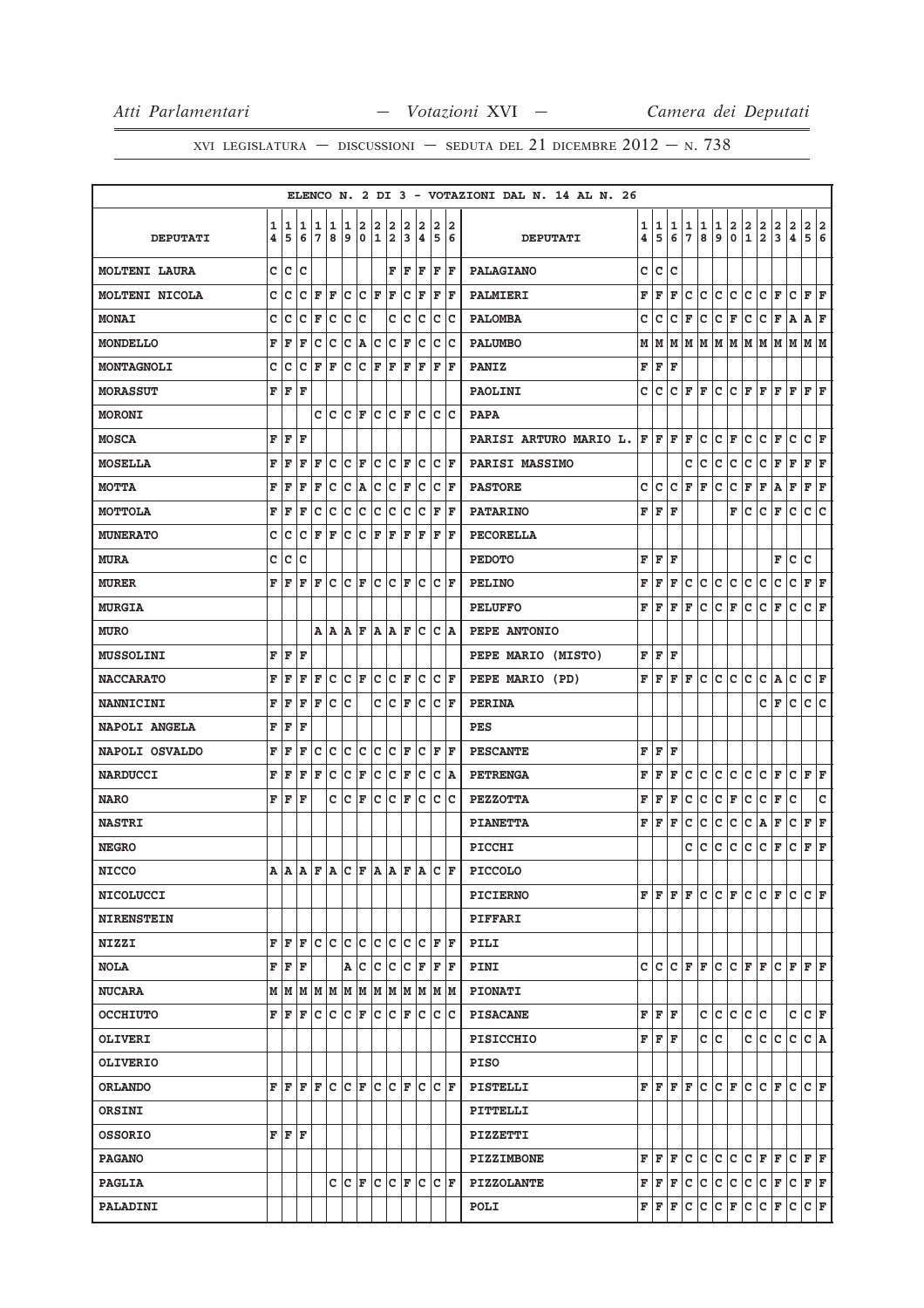|                       |   |       |         |                                                                                             |     |                     |             |                         |     |     |                      |     |                   | ELENCO N. 2 DI 3 - VOTAZIONI DAL N. 14 AL N. 26 |   |             |     |                    |               |       |                                     |                    |                                                                                                                                                      |               |               |                               |     |
|-----------------------|---|-------|---------|---------------------------------------------------------------------------------------------|-----|---------------------|-------------|-------------------------|-----|-----|----------------------|-----|-------------------|-------------------------------------------------|---|-------------|-----|--------------------|---------------|-------|-------------------------------------|--------------------|------------------------------------------------------------------------------------------------------------------------------------------------------|---------------|---------------|-------------------------------|-----|
|                       | 1 | 1     | 1       | 1                                                                                           | 1   | 1                   | 2           | 2                       | 2   | 2   | 2                    | 2   | 2                 |                                                 | 1 | 1           | 1   | 1                  | 1             | 1     |                                     |                    |                                                                                                                                                      |               |               | 2                             | 2   |
| <b>DEPUTATI</b>       | 4 | 5     | 6       | $\overline{7}$                                                                              | 8   | 9                   | $\mathbf 0$ | $\overline{\mathbf{1}}$ | 2   | 3   | ∣4.                  | 5   | 6                 | <b>DEPUTATI</b>                                 | 4 | 5           | 6   | $7\phantom{.0}$    | 8             | 9     | $_{\rm 0}^2$                        | $\frac{2}{1}$      | $\frac{2}{2}$                                                                                                                                        | $\frac{2}{3}$ | $\frac{2}{4}$ | $\overline{5}$ $\overline{6}$ |     |
| <b>MOLTENI LAURA</b>  | c | Ιc    | c       |                                                                                             |     |                     |             |                         | F   | F   | F                    | F   | ΙF                | <b>PALAGIANO</b>                                | с | lc.         | Iс  |                    |               |       |                                     |                    |                                                                                                                                                      |               |               |                               |     |
| <b>MOLTENI NICOLA</b> | C | c     | c       | F                                                                                           | F   | c                   | c           | F                       | F   | c   | F                    | F   | F                 | <b>PALMIERI</b>                                 | F | F           | F   | с                  | c             | c     | lc.                                 | c                  | c                                                                                                                                                    | F             | c             | F                             | lF. |
| <b>MONAI</b>          | C | c     | c       | F                                                                                           | c   | c                   | C           |                         | C   | c   | c                    | c   | lc                | <b>PALOMBA</b>                                  | с | c           | с   | ΙF                 | с             | c     | F                                   | c                  | с                                                                                                                                                    | F             | A             | Α                             | ΙF  |
| <b>MONDELLO</b>       | F | F     | F       | c                                                                                           | c   | c                   | A           | C                       | c   | F   | c                    | c   | Iс                | <b>PALUMBO</b>                                  | М | M           |     |                    |               |       | M  M  M  M  M  M  M                 |                    |                                                                                                                                                      | M             | lм            | MM                            |     |
| MONTAGNOLI            | C | c     | c       | F                                                                                           | F   | c                   | C           | F                       | F   | l F | F                    | F   | ΙF                | <b>PANIZ</b>                                    | F | F           | F   |                    |               |       |                                     |                    |                                                                                                                                                      |               |               |                               |     |
| <b>MORASSUT</b>       | F | F     | l F     |                                                                                             |     |                     |             |                         |     |     |                      |     |                   | <b>PAOLINI</b>                                  | c | lc.         |     | $ C $ $\mathbf{F}$ | F             | c     | lc.                                 | lF.                | lF.                                                                                                                                                  | F             | F             | F                             | lF  |
| <b>MORONI</b>         |   |       |         | C                                                                                           | lc. | lc                  | ΙF          | lc                      | lc  | lF. | lc                   | c   | lc                | <b>PAPA</b>                                     |   |             |     |                    |               |       |                                     |                    |                                                                                                                                                      |               |               |                               |     |
| <b>MOSCA</b>          | F | ΙF    | ΙF      |                                                                                             |     |                     |             |                         |     |     |                      |     |                   | PARISI ARTURO MARIO L.                          |   | $F$ $F$ $F$ |     | ΙF                 | c             | c     | F                                   | с                  | с                                                                                                                                                    | F             | c             | c                             | F   |
| <b>MOSELLA</b>        | F | F     | F       | F                                                                                           | c   | lc.                 | F           | c                       | Iс  | F   | Ιc                   | c   | ΙF                | PARISI MASSIMO                                  |   |             |     | c                  | c             | c     | c                                   | с                  | c                                                                                                                                                    | F             | F             | $ {\bf F}  {\bf F} $          |     |
| <b>MOTTA</b>          | F | F     | F       | F                                                                                           | c   | с                   | A           | с                       | c   | F   | c                    | c   | F                 | <b>PASTORE</b>                                  | с | с           | с   | F                  | F             | с     | с                                   | F                  | F                                                                                                                                                    | Α             | F             | F                             | F   |
| <b>MOTTOLA</b>        | F | F     | F       | c                                                                                           | c   | c                   | c           | C                       | c   | c   | c                    | F   | lF.               | <b>PATARINO</b>                                 |   | FF          | F   |                    |               |       | F                                   | c                  | c                                                                                                                                                    | F             | с             | c                             | c   |
| <b>MUNERATO</b>       | C | c     | c       | F                                                                                           | F   | c                   | C           | F                       | F   | l F | F                    | F   | ΙF                | <b>PECORELLA</b>                                |   |             |     |                    |               |       |                                     |                    |                                                                                                                                                      |               |               |                               |     |
| <b>MURA</b>           | C | c     | C       |                                                                                             |     |                     |             |                         |     |     |                      |     |                   | <b>PEDOTO</b>                                   | F | lF.         | l F |                    |               |       |                                     |                    |                                                                                                                                                      | F             | c             | C                             |     |
| <b>MURER</b>          | F | F     | F       | F                                                                                           | c   | lc.                 | lF.         | ١c                      | lc  | F   | lc                   | lc. | ΙF                | <b>PELINO</b>                                   | F | F           | F   | c                  | c             | c.    | c                                   | c                  | c                                                                                                                                                    | c             | c             | F F                           |     |
| <b>MURGIA</b>         |   |       |         |                                                                                             |     |                     |             |                         |     |     |                      |     |                   | <b>PELUFFO</b>                                  | F | l F         | F   | F                  | c             | c     | F                                   | c                  | c                                                                                                                                                    | F             | c             | c                             | lF  |
| <b>MURO</b>           |   |       |         | A   A                                                                                       |     | A F                 |             | A A                     |     | F   | lc                   |     | C A               | PEPE ANTONIO                                    |   |             |     |                    |               |       |                                     |                    |                                                                                                                                                      |               |               |                               |     |
| <b>MUSSOLINI</b>      | F | F     | F       |                                                                                             |     |                     |             |                         |     |     |                      |     |                   | PEPE MARIO (MISTO)                              | F | F           | F   |                    |               |       |                                     |                    |                                                                                                                                                      |               |               |                               |     |
| <b>NACCARATO</b>      | F | F     | F       | F                                                                                           | c   | lc.                 | F           | c                       | c   | F   | c                    | c   | F                 | PEPE MARIO (PD)                                 |   | FF          |     | $F$ $F$            | lc.           | lc.   | lc.                                 | c                  | c                                                                                                                                                    | A             | c             | C F                           |     |
| <b>NANNICINI</b>      | F | F     | F       | F                                                                                           | C   | lc                  |             | C                       | lc. | F   | lc                   | lc. | ΙF                | <b>PERINA</b>                                   |   |             |     |                    |               |       |                                     |                    | c                                                                                                                                                    | F             | $\mathbf c$   | c                             | c   |
| NAPOLI ANGELA         | F | F     | F       |                                                                                             |     |                     |             |                         |     |     |                      |     |                   | PES                                             |   |             |     |                    |               |       |                                     |                    |                                                                                                                                                      |               |               |                               |     |
| NAPOLI OSVALDO        | F | F     | F       | c                                                                                           | c   | Ιc                  | c           | Ιc                      | Iс  | F   | Ιc                   | F   | lF.               | <b>PESCANTE</b>                                 | F | F F         |     |                    |               |       |                                     |                    |                                                                                                                                                      |               |               |                               |     |
| <b>NARDUCCI</b>       | F | F     | F       | F                                                                                           | c   | c                   | F           | C                       | c   | F   | c                    | C   | A                 | <b>PETRENGA</b>                                 | F | F           | F   | с                  | c             | с     | c                                   | c                  | c                                                                                                                                                    | F             | c             | F                             | F   |
| <b>NARO</b>           | F | F     | F       |                                                                                             | c c |                     | F           | lc.                     | lc. | F   | Iс                   | lc. | lc                | <b>PEZZOTTA</b>                                 | F | F           | F   | с                  | c             | c     | F                                   | c                  | c                                                                                                                                                    | F             | c             |                               | C   |
| <b>NASTRI</b>         |   |       |         |                                                                                             |     |                     |             |                         |     |     |                      |     |                   | <b>PIANETTA</b>                                 | F | l F         | F   | с                  | с             | с     | с                                   | с                  | A                                                                                                                                                    | F             | с             | F                             | F   |
| <b>NEGRO</b>          |   |       |         |                                                                                             |     |                     |             |                         |     |     |                      |     |                   | PICCHI                                          |   |             |     | c                  | c             | c     | c                                   | с                  | c                                                                                                                                                    | F             | с             | F                             | F   |
| <b>NICCO</b>          | A |       |         | ${\bf  a } {\bf  a } {\bf  F } {\bf  a } {\bf  C } {\bf  F } {\bf  a } {\bf  F } {\bf  a }$ |     |                     |             |                         |     |     |                      |     |                   | $ c _F $ PICCOLO                                |   |             |     |                    |               |       |                                     |                    |                                                                                                                                                      |               |               |                               |     |
| <b>NICOLUCCI</b>      |   |       |         |                                                                                             |     |                     |             |                         |     |     |                      |     |                   | <b>PICIERNO</b>                                 |   | F F F F     |     |                    |               |       |                                     |                    | C C F C C F                                                                                                                                          |               | lc.           | CF                            |     |
| <b>NIRENSTEIN</b>     |   |       |         |                                                                                             |     |                     |             |                         |     |     |                      |     |                   | PIFFARI                                         |   |             |     |                    |               |       |                                     |                    |                                                                                                                                                      |               |               |                               |     |
| NIZZI                 | F | ΙF    | F       | C C                                                                                         |     | c c                 |             | c c                     |     | Iс  | Iс                   | F   | ΙF                | <b>PILI</b>                                     |   |             |     |                    |               |       |                                     |                    |                                                                                                                                                      |               |               |                               |     |
| <b>NOLA</b>           |   | FF    | F       |                                                                                             |     | A C                 |             | c c                     |     |     | $ {\bf C}  {\bf F} $ | F   | F                 | PINI                                            |   |             |     |                    |               |       | $C  C   C   F   F   C   C   F   F $ |                    |                                                                                                                                                      | C F F F       |               |                               |     |
| <b>NUCARA</b>         |   | MM    | lм      | M M                                                                                         |     | MM                  |             |                         | M M |     | M M                  |     | M  M              | <b>PIONATI</b>                                  |   |             |     |                    |               |       |                                     |                    |                                                                                                                                                      |               |               |                               |     |
| <b>OCCHIUTO</b>       |   | F F F |         | Iс                                                                                          | c   | c                   | F           | c                       | lc  | F   | lc                   | c   | Iс                | <b>PISACANE</b>                                 |   | F F F       |     |                    |               | c c c |                                     | c c                |                                                                                                                                                      |               | c             | $ {\bf C}  {\bf F} $          |     |
| <b>OLIVERI</b>        |   |       |         |                                                                                             |     |                     |             |                         |     |     |                      |     |                   | <b>PISICCHIO</b>                                |   | FFF         |     |                    |               | c c   |                                     |                    | c c                                                                                                                                                  | lc.           | c             | C A                           |     |
| <b>OLIVERIO</b>       |   |       |         |                                                                                             |     |                     |             |                         |     |     |                      |     |                   | <b>PISO</b>                                     |   |             |     |                    |               |       |                                     |                    |                                                                                                                                                      |               |               |                               |     |
| <b>ORLANDO</b>        |   | FF    | $F$ $F$ |                                                                                             |     | $ C C $ $\mathbf F$ |             | lc lc                   |     | lF. | lc                   |     | $ {\tt C} \;  $ F | PISTELLI                                        |   |             |     | F F F F            | lc.           | IC F  |                                     |                    | IC IC IF                                                                                                                                             |               | lc.           | CF                            |     |
| ORSINI                |   |       |         |                                                                                             |     |                     |             |                         |     |     |                      |     |                   | PITTELLI                                        |   |             |     |                    |               |       |                                     |                    |                                                                                                                                                      |               |               |                               |     |
| <b>OSSORIO</b>        |   | F F F |         |                                                                                             |     |                     |             |                         |     |     |                      |     |                   | PIZZETTI                                        |   |             |     |                    |               |       |                                     |                    |                                                                                                                                                      |               |               |                               |     |
| <b>PAGANO</b>         |   |       |         |                                                                                             |     |                     |             |                         |     |     |                      |     |                   | <b>PIZZIMBONE</b>                               |   | FF          | lF. | lc.                | lc.           | c.    | c                                   | $ C $ $\mathbf{F}$ |                                                                                                                                                      | F             | c             | $\mathbf{F} \mid \mathbf{F}$  |     |
| <b>PAGLIA</b>         |   |       |         |                                                                                             | c   | lc.                 | lF.         | lc.                     | lc  | F   | lc                   |     | C F               | <b>PIZZOLANTE</b>                               |   |             |     |                    |               |       |                                     |                    | $\mathbf{F} \vert \mathbf{F} \vert \mathbf{F} \vert \mathbf{C} \vert \mathbf{C} \vert \mathbf{C} \vert \mathbf{C} \vert \mathbf{C} \vert \mathbf{F}$ |               | C F F         |                               |     |
| PALADINI              |   |       |         |                                                                                             |     |                     |             |                         |     |     |                      |     |                   | POLI                                            |   |             |     |                    | F F F C C C F |       |                                     |                    | $ C C $ $\mathbf{F}$                                                                                                                                 |               | c             | C F                           |     |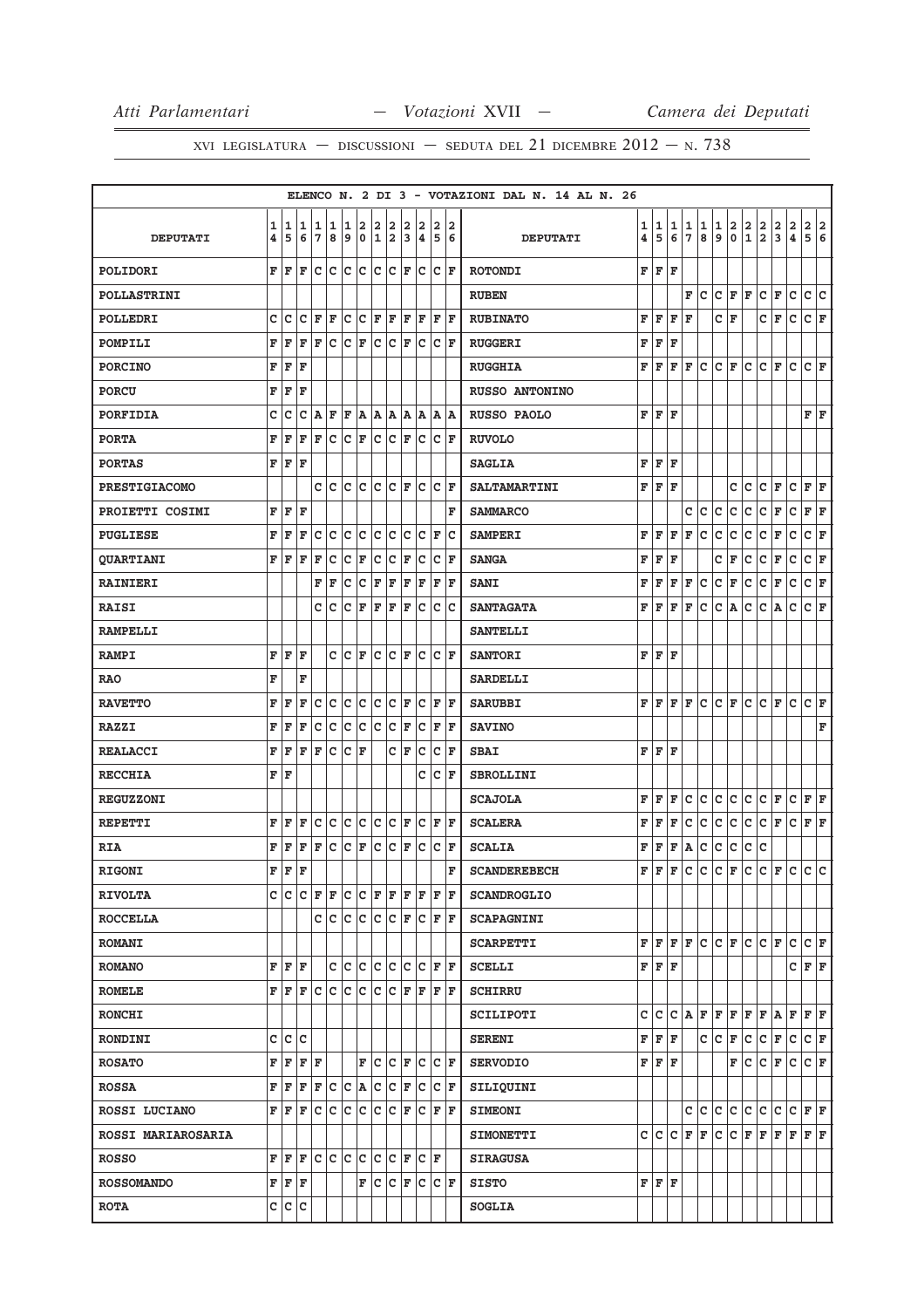|                           |              |     |         |   |                                                                                               |                                                                                               |                      |             |                         |    |                                                                                                                                                                                                                 |                         |    | ELENCO N. 2 DI 3 - VOTAZIONI DAL N. 14 AL N. 26 |                         |     |    |             |   |              |             |              |                         |                         |                         |                      |     |
|---------------------------|--------------|-----|---------|---|-----------------------------------------------------------------------------------------------|-----------------------------------------------------------------------------------------------|----------------------|-------------|-------------------------|----|-----------------------------------------------------------------------------------------------------------------------------------------------------------------------------------------------------------------|-------------------------|----|-------------------------------------------------|-------------------------|-----|----|-------------|---|--------------|-------------|--------------|-------------------------|-------------------------|-------------------------|----------------------|-----|
|                           | 1            | 1   | 1       | 1 | 1                                                                                             | 1                                                                                             | 2                    | 2           | 2                       | 2  | 2                                                                                                                                                                                                               | 2                       | 2  |                                                 | 1                       | 1   | 1  | 1           | 1 | 1            | 2           | 2            | $\overline{\mathbf{2}}$ | 2                       | $\overline{\mathbf{2}}$ | 2                    | 2   |
| <b>DEPUTATI</b>           | 4            | 5   | 6       | 7 | 8                                                                                             | 9                                                                                             | 0                    | $\mathbf 1$ | $\overline{\mathbf{2}}$ | 3  | 4                                                                                                                                                                                                               | 5                       | 6  | <b>DEPUTATI</b>                                 | $\overline{\mathbf{4}}$ | 5   | 6  | 7           | 8 | 9            | $\mathbf 0$ | $\mathbf{1}$ | $\overline{a}$          | $\overline{\mathbf{3}}$ | $\pmb{4}$               | 5                    | 6   |
| POLIDORI                  |              | FF  | F       |   |                                                                                               |                                                                                               |                      |             |                         |    | c  c  c  c  c  c  F  c  c  F                                                                                                                                                                                    |                         |    | <b>ROTONDI</b>                                  | F                       | F   | F  |             |   |              |             |              |                         |                         |                         |                      |     |
| <b>POLLASTRINI</b>        |              |     |         |   |                                                                                               |                                                                                               |                      |             |                         |    |                                                                                                                                                                                                                 |                         |    | <b>RUBEN</b>                                    |                         |     |    | F           | c | c            | F           | F            | c                       | F                       | c                       | lc.                  | lc. |
| POLLEDRI                  | c            | c   | c       | F | F                                                                                             |                                                                                               |                      |             | C C F F                 |    | F F                                                                                                                                                                                                             | $_{\rm F F}$            |    | <b>RUBINATO</b>                                 | F                       | F   | F  | F           |   | c            | F           |              | c                       | F                       | $\mathtt{C}$            | $ c _{\mathbf{F}}$   |     |
| POMPILI                   | F            | F   | F       | F |                                                                                               | $ {\mathbf{C}}\, {\mathbf{C}}\, {\mathbf{F}}\, {\mathbf{C}}\, {\mathbf{C}}\, {\mathbf{F}}\, $ |                      |             |                         |    | c                                                                                                                                                                                                               | C F                     |    | <b>RUGGERI</b>                                  | F                       | F   | F  |             |   |              |             |              |                         |                         |                         |                      |     |
| <b>PORCINO</b>            | F            | F   | F       |   |                                                                                               |                                                                                               |                      |             |                         |    |                                                                                                                                                                                                                 |                         |    | <b>RUGGHIA</b>                                  | F                       | F   | F  | F           | c | c            | F           | с            | c                       | ΙF                      | c                       | $ {\bf C}  {\bf F} $ |     |
| <b>PORCU</b>              | F            | F   | F       |   |                                                                                               |                                                                                               |                      |             |                         |    |                                                                                                                                                                                                                 |                         |    | RUSSO ANTONINO                                  |                         |     |    |             |   |              |             |              |                         |                         |                         |                      |     |
| PORFIDIA                  | c            | c   | с       | A | F                                                                                             |                                                                                               |                      |             |                         |    | F A A A A A A A                                                                                                                                                                                                 |                         |    | <b>RUSSO PAOLO</b>                              | F                       | F   | F  |             |   |              |             |              |                         |                         |                         | F                    | l F |
| <b>PORTA</b>              | F            | F   | F       | F |                                                                                               |                                                                                               |                      |             |                         |    | C C F C C F C C F                                                                                                                                                                                               |                         |    | <b>RUVOLO</b>                                   |                         |     |    |             |   |              |             |              |                         |                         |                         |                      |     |
| <b>PORTAS</b>             |              | F F | ΙF      |   |                                                                                               |                                                                                               |                      |             |                         |    |                                                                                                                                                                                                                 |                         |    | <b>SAGLIA</b>                                   | F                       | F   | F  |             |   |              |             |              |                         |                         |                         |                      |     |
| <b>PRESTIGIACOMO</b>      |              |     |         |   |                                                                                               |                                                                                               |                      |             |                         |    | $C C C C C F C C F$                                                                                                                                                                                             |                         |    | <b>SALTAMARTINI</b>                             | F                       | F   | F  |             |   |              | c           | lc.          | c                       | F                       | $\mathbf c$             | F                    | lF. |
| PROIETTI COSIMI           | F            | F   | ΙF      |   |                                                                                               |                                                                                               |                      |             |                         |    |                                                                                                                                                                                                                 |                         | F  | <b>SAMMARCO</b>                                 |                         |     |    | C           | c | c            | c           | Iс           | c                       | F                       | $\mathbf C$             | F                    | F   |
| <b>PUGLIESE</b>           | F            | F   | F       | c | c                                                                                             | c                                                                                             | lc.                  |             | c c                     | c  | c                                                                                                                                                                                                               | F                       | ١c | <b>SAMPERI</b>                                  | F                       | F   | F  | F           | c | c            | c           | c            | c                       | F                       | c                       | lc.                  | F   |
| <b>QUARTIANI</b>          |              | FF  | F       | F | c                                                                                             |                                                                                               | $ C $ F              |             | $ C C $ F               |    | c.                                                                                                                                                                                                              | C F                     |    | <b>SANGA</b>                                    | F                       | F   | F  |             |   | с            | F           | c            | C                       | F                       | $\mathtt{C}$            | c                    | F   |
| <b>RAINIERI</b>           |              |     |         | F | F                                                                                             | c                                                                                             | c                    | F           | F                       | F  | F                                                                                                                                                                                                               | F                       | ١F | <b>SANI</b>                                     | F                       | F   | F  | F           | c | c            | F           | c            | c                       | F                       | c                       | c                    | F   |
| <b>RAISI</b>              |              |     |         | c | Iс                                                                                            |                                                                                               |                      |             | C F F F F               |    | c                                                                                                                                                                                                               | $ {\rm c}\, {\rm c}\, $ |    | <b>SANTAGATA</b>                                | F                       | l F | F  | F           | c | c            | A           | c            | c                       | A                       | $\mathbf C$             | $ c _{\mathbf{F}}$   |     |
| <b>RAMPELLI</b>           |              |     |         |   |                                                                                               |                                                                                               |                      |             |                         |    |                                                                                                                                                                                                                 |                         |    | <b>SANTELLI</b>                                 |                         |     |    |             |   |              |             |              |                         |                         |                         |                      |     |
| <b>RAMPI</b>              | F            | F   | F       |   |                                                                                               | $c c _F$                                                                                      |                      |             |                         |    | $ c c _F c$                                                                                                                                                                                                     | C F                     |    | <b>SANTORI</b>                                  | F                       | F   | F  |             |   |              |             |              |                         |                         |                         |                      |     |
| <b>RAO</b>                | F            |     | F       |   |                                                                                               |                                                                                               |                      |             |                         |    |                                                                                                                                                                                                                 |                         |    | <b>SARDELLI</b>                                 |                         |     |    |             |   |              |             |              |                         |                         |                         |                      |     |
| <b>RAVETTO</b>            | F            | F   | F       | c | c                                                                                             |                                                                                               | c c                  |             | $ C C $ F               |    | c                                                                                                                                                                                                               | F  F                    |    | <b>SARUBBI</b>                                  | F                       | F   | F  | F           | c | c            | F           | c            | c                       | F                       | $\mathbf c$             | lc.                  | l F |
| <b>RAZZI</b>              | F            | F   | F       |   | $ {\mathbf{C}}\, {\mathbf{C}}\, {\mathbf{C}}\, {\mathbf{C}}\, {\mathbf{C}}\, {\mathbf{F}}\, $ |                                                                                               |                      |             |                         |    |                                                                                                                                                                                                                 | C F F                   |    | <b>SAVINO</b>                                   |                         |     |    |             |   |              |             |              |                         |                         |                         |                      | F   |
| <b>REALACCI</b>           | F            | F   | F       | F | c                                                                                             | c                                                                                             | F                    |             |                         | CF | c                                                                                                                                                                                                               | $ C $ F                 |    | <b>SBAI</b>                                     | F                       | F   | F  |             |   |              |             |              |                         |                         |                         |                      |     |
| <b>RECCHIA</b>            |              | FF  |         |   |                                                                                               |                                                                                               |                      |             |                         |    | c                                                                                                                                                                                                               | $ {\boldsymbol{c}} $ F  |    | <b>SBROLLINI</b>                                |                         |     |    |             |   |              |             |              |                         |                         |                         |                      |     |
| <b>REGUZZONI</b>          |              |     |         |   |                                                                                               |                                                                                               |                      |             |                         |    |                                                                                                                                                                                                                 |                         |    | <b>SCAJOLA</b>                                  | F                       | F   | F  | $\mathbf c$ | c | $\mathtt{C}$ | c           | c            | c                       | F                       | $\mathtt{C}$            | F                    | F   |
| <b>REPETTI</b>            | F            | F   | F       |   | c c                                                                                           |                                                                                               | c c                  |             | $ C C $ $\mathbf{F}$    |    | c                                                                                                                                                                                                               | F F                     |    | <b>SCALERA</b>                                  | F                       | F   | F  | $\mathbf c$ | c | c            | c           | c            | $\mathtt{C}$            | F                       | c                       | F                    | F   |
| <b>RIA</b>                | F            | F   | F       | F | c                                                                                             |                                                                                               | $ {\bf C}  {\bf F} $ | c.          | $ {\tt C} \;  $ F       |    | $\overline{c}$                                                                                                                                                                                                  | $ {\bf C}  {\bf F} $    |    | <b>SCALIA</b>                                   | F                       | F   | F  | A           | c | $\mathsf{C}$ | c           | c            | c                       |                         |                         |                      |     |
| <b>RIGONI</b>             |              | F F | F       |   |                                                                                               |                                                                                               |                      |             |                         |    |                                                                                                                                                                                                                 |                         | F  | <b>SCANDEREBECH</b>                             | F                       | l F | F  | $\mathbf c$ | c | lc.          | F           | lc.          | lc.                     | F                       | c                       | c c                  |     |
| <b>RIVOLTA</b>            |              |     |         |   |                                                                                               |                                                                                               |                      |             |                         |    |                                                                                                                                                                                                                 |                         |    | <b>SCANDROGLIO</b>                              |                         |     |    |             |   |              |             |              |                         |                         |                         |                      |     |
| <b>ROCCELLA</b>           |              |     |         |   | C C C C C C F                                                                                 |                                                                                               |                      |             |                         |    |                                                                                                                                                                                                                 | C F F                   |    | <b>SCAPAGNINI</b>                               |                         |     |    |             |   |              |             |              |                         |                         |                         |                      |     |
| <b>ROMANI</b>             |              |     |         |   |                                                                                               |                                                                                               |                      |             |                         |    |                                                                                                                                                                                                                 |                         |    | <b>SCARPETTI</b>                                | F                       | F   | F  | F           | c | c            | F           | c            | $ c _F$                 |                         | $\mathtt{C}$            | $ c _{\mathbf{F}}$   |     |
| <b>ROMANO</b>             |              |     | F F F   |   |                                                                                               |                                                                                               |                      |             |                         |    | c c c c c c c r F                                                                                                                                                                                               |                         |    | <b>SCELLI</b>                                   | $\mathbf F$             | F   | F  |             |   |              |             |              |                         |                         | c                       | F F                  |     |
| <b>ROMELE</b>             |              |     |         |   |                                                                                               |                                                                                               |                      |             |                         |    | ${\bf F}$ $\left  {\bf F} \right. {\bf F}$ $\left  {\bf C} \right. {\bf C}$ $\left  {\bf C} \right. {\bf C}$ $\left  {\bf C} \right. {\bf F}$ $\left  {\bf F} \right. {\bf F}$ $\left  {\bf F} \right. {\bf F}$ |                         |    | <b>SCHIRRU</b>                                  |                         |     |    |             |   |              |             |              |                         |                         |                         |                      |     |
| <b>RONCHI</b>             |              |     |         |   |                                                                                               |                                                                                               |                      |             |                         |    |                                                                                                                                                                                                                 |                         |    | SCILIPOTI                                       | c                       | c   | c  | ۱A.         | F | F            | F           | F            | F                       | A                       | F                       | F F                  |     |
| <b>RONDINI</b>            | $\mathsf{c}$ |     | c c     |   |                                                                                               |                                                                                               |                      |             |                         |    |                                                                                                                                                                                                                 |                         |    | <b>SERENI</b>                                   | F                       | F   | F  |             | c | c            | F           | c            | c                       | F                       | c                       | C F                  |     |
| <b>ROSATO</b>             |              |     | F F F F |   |                                                                                               |                                                                                               |                      |             |                         |    | F C C F C C F                                                                                                                                                                                                   |                         |    | <b>SERVODIO</b>                                 | $\mathbf F$             | F   | F  |             |   |              | F           | lc.          | lc.                     | F                       | c                       | $ c _F$              |     |
| <b>ROSSA</b>              |              | FF  | F       |   |                                                                                               |                                                                                               |                      |             |                         |    | F C C A C C F C                                                                                                                                                                                                 | $ {\boldsymbol{c}} $ F  |    | SILIQUINI                                       |                         |     |    |             |   |              |             |              |                         |                         |                         |                      |     |
| ROSSI LUCIANO             |              |     | F F F   |   |                                                                                               |                                                                                               |                      |             |                         |    | C C C C C F C F F F                                                                                                                                                                                             |                         |    | <b>SIMEONI</b>                                  |                         |     |    | C           | c | c            | c           | c            | C                       | c                       | $\mathtt{C}$            | F                    | F   |
| <b>ROSSI MARIAROSARIA</b> |              |     |         |   |                                                                                               |                                                                                               |                      |             |                         |    |                                                                                                                                                                                                                 |                         |    | <b>SIMONETTI</b>                                | c                       | lc. | lc | F           | F | lc.          | c           | F            | F                       | F                       | F                       | F F                  |     |
| <b>ROSSO</b>              |              | FF  | F       |   |                                                                                               |                                                                                               |                      |             |                         |    | C  C  C  C  C  F  C  F                                                                                                                                                                                          |                         |    | <b>SIRAGUSA</b>                                 |                         |     |    |             |   |              |             |              |                         |                         |                         |                      |     |
| <b>ROSSOMANDO</b>         |              |     | F F F   |   |                                                                                               |                                                                                               | F                    |             |                         |    | C C F C C F                                                                                                                                                                                                     |                         |    | <b>SISTO</b>                                    | F                       | F   | F  |             |   |              |             |              |                         |                         |                         |                      |     |
| <b>ROTA</b>               |              |     | C C C   |   |                                                                                               |                                                                                               |                      |             |                         |    |                                                                                                                                                                                                                 |                         |    | <b>SOGLIA</b>                                   |                         |     |    |             |   |              |             |              |                         |                         |                         |                      |     |